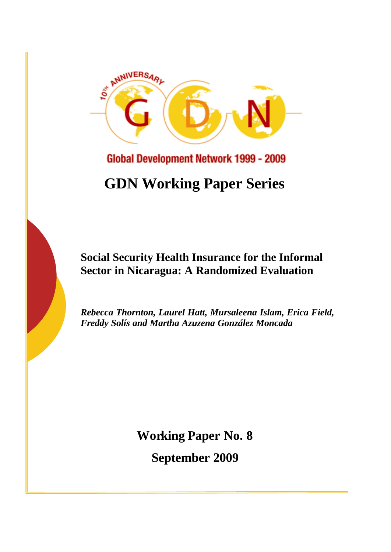

**Global Development Network 1999 - 2009** 

# **GDN Working Paper Series**

# **Social Security Health Insurance for the Informal Sector in Nicaragua: A Randomized Evaluation**

*Rebecca Thornton, Laurel Hatt, Mursaleena Islam, Erica Field, Freddy Solís and Martha Azuzena González Moncada*

**Working Paper No. 8**

**September 2009**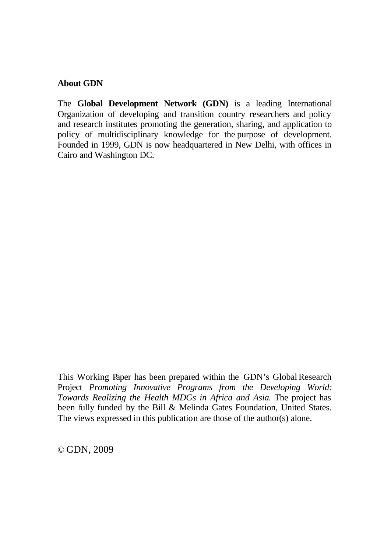## **About GDN**

The **Global Development Network (GDN)** is a leading International Organization of developing and transition country researchers and policy and research institutes promoting the generation, sharing, and application to policy of multidisciplinary knowledge for the purpose of development. Founded in 1999, GDN is now headquartered in New Delhi, with offices in Cairo and Washington DC.

This Working Paper has been prepared within the GDN's Global Research Project *Promoting Innovative Programs from the Developing World: Towards Realizing the Health MDGs in Africa and Asia*. The project has been fully funded by the Bill & Melinda Gates Foundation, United States. The views expressed in this publication are those of the author(s) alone.

© GDN, 2009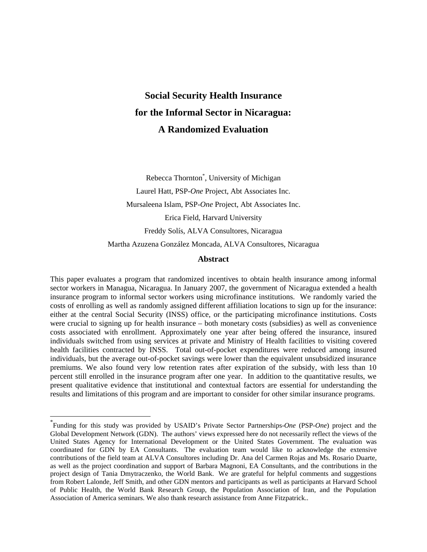# **Social Security Health Insurance for the Informal Sector in Nicaragua: A Randomized Evaluation**

Rebecca Thornton\* , University of Michigan Laurel Hatt, PSP*-One* Project, Abt Associates Inc. Mursaleena Islam, PSP-*One* Project, Abt Associates Inc. Erica Field, Harvard University Freddy Solís, ALVA Consultores, Nicaragua Martha Azuzena González Moncada, ALVA Consultores, Nicaragua

#### **Abstract**

This paper evaluates a program that randomized incentives to obtain health insurance among informal sector workers in Managua, Nicaragua. In January 2007, the government of Nicaragua extended a health insurance program to informal sector workers using microfinance institutions. We randomly varied the costs of enrolling as well as randomly assigned different affiliation locations to sign up for the insurance: either at the central Social Security (INSS) office, or the participating microfinance institutions. Costs were crucial to signing up for health insurance – both monetary costs (subsidies) as well as convenience costs associated with enrollment. Approximately one year after being offered the insurance, insured individuals switched from using services at private and Ministry of Health facilities to visiting covered health facilities contracted by INSS. Total out-of-pocket expenditures were reduced among insured individuals, but the average out-of-pocket savings were lower than the equivalent unsubsidized insurance premiums. We also found very low retention rates after expiration of the subsidy, with less than 10 percent still enrolled in the insurance program after one year. In addition to the quantitative results, we present qualitative evidence that institutional and contextual factors are essential for understanding the results and limitations of this program and are important to consider for other similar insurance programs.

 $\overline{a}$ 

<sup>\*</sup> Funding for this study was provided by USAID's Private Sector Partnerships-*One* (PSP-*One*) project and the Global Development Network (GDN). The authors' views expressed here do not necessarily reflect the views of the United States Agency for International Development or the United States Government. The evaluation was coordinated for GDN by EA Consultants. The evaluation team would like to acknowledge the extensive contributions of the field team at ALVA Consultores including Dr. Ana del Carmen Rojas and Ms. Rosario Duarte, as well as the project coordination and support of Barbara Magnoni, EA Consultants, and the contributions in the project design of Tania Dmytraczenko, the World Bank. We are grateful for helpful comments and suggestions from Robert Lalonde, Jeff Smith, and other GDN mentors and participants as well as participants at Harvard School of Public Health, the World Bank Research Group, the Population Association of Iran, and the Population Association of America seminars. We also thank research assistance from Anne Fitzpatrick..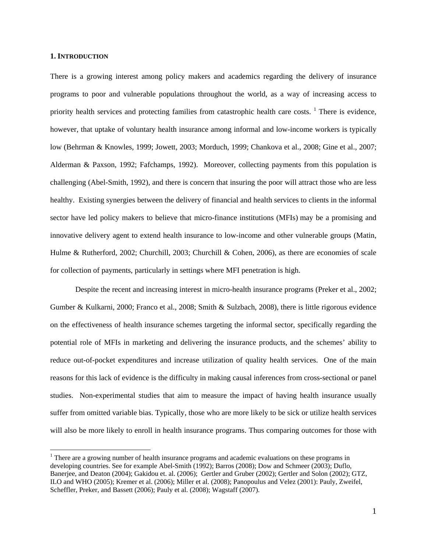#### **1. INTRODUCTION**

 $\overline{a}$ 

There is a growing interest among policy makers and academics regarding the delivery of insurance programs to poor and vulnerable populations throughout the world, as a way of increasing access to priority health services and protecting families from catastrophic health care costs. <sup>1</sup> There is evidence, however, that uptake of voluntary health insurance among informal and low-income workers is typically low (Behrman & Knowles, 1999; Jowett, 2003; Morduch, 1999; Chankova et al., 2008; Gine et al., 2007; Alderman & Paxson, 1992; Fafchamps, 1992). Moreover, collecting payments from this population is challenging (Abel-Smith, 1992), and there is concern that insuring the poor will attract those who are less healthy. Existing synergies between the delivery of financial and health services to clients in the informal sector have led policy makers to believe that micro-finance institutions (MFIs) may be a promising and innovative delivery agent to extend health insurance to low-income and other vulnerable groups (Matin, Hulme & Rutherford, 2002; Churchill, 2003; Churchill & Cohen, 2006), as there are economies of scale for collection of payments, particularly in settings where MFI penetration is high.

Despite the recent and increasing interest in micro-health insurance programs (Preker et al., 2002; Gumber & Kulkarni, 2000; Franco et al., 2008; Smith & Sulzbach, 2008), there is little rigorous evidence on the effectiveness of health insurance schemes targeting the informal sector, specifically regarding the potential role of MFIs in marketing and delivering the insurance products, and the schemes' ability to reduce out-of-pocket expenditures and increase utilization of quality health services. One of the main reasons for this lack of evidence is the difficulty in making causal inferences from cross-sectional or panel studies. Non-experimental studies that aim to measure the impact of having health insurance usually suffer from omitted variable bias. Typically, those who are more likely to be sick or utilize health services will also be more likely to enroll in health insurance programs. Thus comparing outcomes for those with

<sup>&</sup>lt;sup>1</sup> There are a growing number of health insurance programs and academic evaluations on these programs in developing countries. See for example Abel-Smith (1992); Barros (2008); Dow and Schmeer (2003); Duflo, Banerjee, and Deaton (2004); Gakidou et. al. (2006); Gertler and Gruber (2002); Gertler and Solon (2002); GTZ, ILO and WHO (2005); Kremer et al. (2006); Miller et al. (2008); Panopoulus and Velez (2001): Pauly, Zweifel, Scheffler, Preker, and Bassett (2006); Pauly et al. (2008); Wagstaff (2007).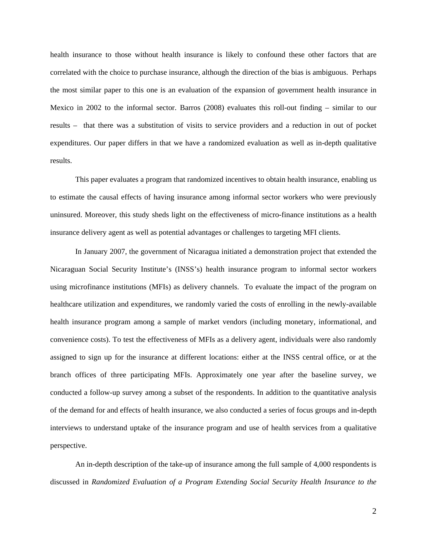health insurance to those without health insurance is likely to confound these other factors that are correlated with the choice to purchase insurance, although the direction of the bias is ambiguous. Perhaps the most similar paper to this one is an evaluation of the expansion of government health insurance in Mexico in 2002 to the informal sector. Barros (2008) evaluates this roll-out finding – similar to our results – that there was a substitution of visits to service providers and a reduction in out of pocket expenditures. Our paper differs in that we have a randomized evaluation as well as in-depth qualitative results.

This paper evaluates a program that randomized incentives to obtain health insurance, enabling us to estimate the causal effects of having insurance among informal sector workers who were previously uninsured. Moreover, this study sheds light on the effectiveness of micro-finance institutions as a health insurance delivery agent as well as potential advantages or challenges to targeting MFI clients.

In January 2007, the government of Nicaragua initiated a demonstration project that extended the Nicaraguan Social Security Institute's (INSS's) health insurance program to informal sector workers using microfinance institutions (MFIs) as delivery channels. To evaluate the impact of the program on healthcare utilization and expenditures, we randomly varied the costs of enrolling in the newly-available health insurance program among a sample of market vendors (including monetary, informational, and convenience costs). To test the effectiveness of MFIs as a delivery agent, individuals were also randomly assigned to sign up for the insurance at different locations: either at the INSS central office, or at the branch offices of three participating MFIs. Approximately one year after the baseline survey, we conducted a follow-up survey among a subset of the respondents. In addition to the quantitative analysis of the demand for and effects of health insurance, we also conducted a series of focus groups and in-depth interviews to understand uptake of the insurance program and use of health services from a qualitative perspective.

An in-depth description of the take-up of insurance among the full sample of 4,000 respondents is discussed in *Randomized Evaluation of a Program Extending Social Security Health Insurance to the*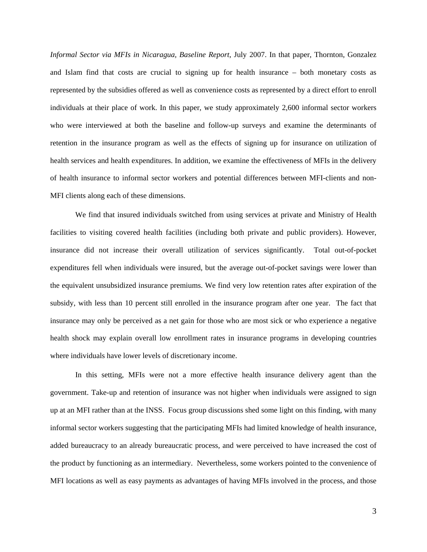*Informal Sector via MFIs in Nicaragua, Baseline Report*, July 2007. In that paper, Thornton, Gonzalez and Islam find that costs are crucial to signing up for health insurance – both monetary costs as represented by the subsidies offered as well as convenience costs as represented by a direct effort to enroll individuals at their place of work. In this paper, we study approximately 2,600 informal sector workers who were interviewed at both the baseline and follow-up surveys and examine the determinants of retention in the insurance program as well as the effects of signing up for insurance on utilization of health services and health expenditures. In addition, we examine the effectiveness of MFIs in the delivery of health insurance to informal sector workers and potential differences between MFI-clients and non-MFI clients along each of these dimensions.

We find that insured individuals switched from using services at private and Ministry of Health facilities to visiting covered health facilities (including both private and public providers). However, insurance did not increase their overall utilization of services significantly. Total out-of-pocket expenditures fell when individuals were insured, but the average out-of-pocket savings were lower than the equivalent unsubsidized insurance premiums. We find very low retention rates after expiration of the subsidy, with less than 10 percent still enrolled in the insurance program after one year. The fact that insurance may only be perceived as a net gain for those who are most sick or who experience a negative health shock may explain overall low enrollment rates in insurance programs in developing countries where individuals have lower levels of discretionary income.

In this setting, MFIs were not a more effective health insurance delivery agent than the government. Take-up and retention of insurance was not higher when individuals were assigned to sign up at an MFI rather than at the INSS. Focus group discussions shed some light on this finding, with many informal sector workers suggesting that the participating MFIs had limited knowledge of health insurance, added bureaucracy to an already bureaucratic process, and were perceived to have increased the cost of the product by functioning as an intermediary. Nevertheless, some workers pointed to the convenience of MFI locations as well as easy payments as advantages of having MFIs involved in the process, and those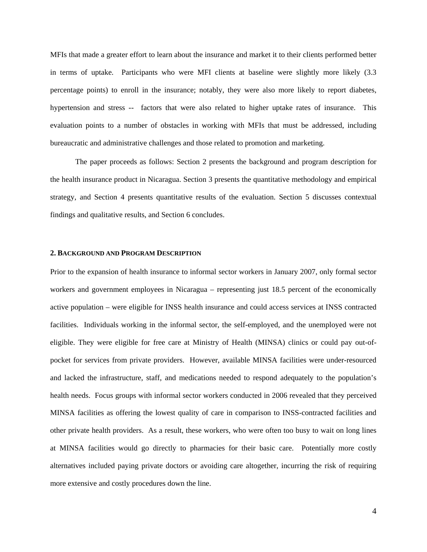MFIs that made a greater effort to learn about the insurance and market it to their clients performed better in terms of uptake. Participants who were MFI clients at baseline were slightly more likely (3.3 percentage points) to enroll in the insurance; notably, they were also more likely to report diabetes, hypertension and stress -- factors that were also related to higher uptake rates of insurance. This evaluation points to a number of obstacles in working with MFIs that must be addressed, including bureaucratic and administrative challenges and those related to promotion and marketing.

The paper proceeds as follows: Section 2 presents the background and program description for the health insurance product in Nicaragua. Section 3 presents the quantitative methodology and empirical strategy, and Section 4 presents quantitative results of the evaluation. Section 5 discusses contextual findings and qualitative results, and Section 6 concludes.

#### **2. BACKGROUND AND PROGRAM DESCRIPTION**

Prior to the expansion of health insurance to informal sector workers in January 2007, only formal sector workers and government employees in Nicaragua – representing just 18.5 percent of the economically active population – were eligible for INSS health insurance and could access services at INSS contracted facilities. Individuals working in the informal sector, the self-employed, and the unemployed were not eligible. They were eligible for free care at Ministry of Health (MINSA) clinics or could pay out-ofpocket for services from private providers. However, available MINSA facilities were under-resourced and lacked the infrastructure, staff, and medications needed to respond adequately to the population's health needs. Focus groups with informal sector workers conducted in 2006 revealed that they perceived MINSA facilities as offering the lowest quality of care in comparison to INSS-contracted facilities and other private health providers. As a result, these workers, who were often too busy to wait on long lines at MINSA facilities would go directly to pharmacies for their basic care. Potentially more costly alternatives included paying private doctors or avoiding care altogether, incurring the risk of requiring more extensive and costly procedures down the line.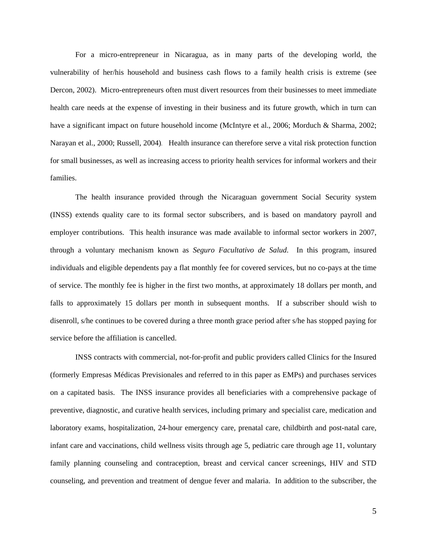For a micro-entrepreneur in Nicaragua, as in many parts of the developing world, the vulnerability of her/his household and business cash flows to a family health crisis is extreme (see Dercon, 2002). Micro-entrepreneurs often must divert resources from their businesses to meet immediate health care needs at the expense of investing in their business and its future growth, which in turn can have a significant impact on future household income (McIntyre et al., 2006; Morduch & Sharma, 2002; Narayan et al., 2000; Russell, 2004). Health insurance can therefore serve a vital risk protection function for small businesses, as well as increasing access to priority health services for informal workers and their families.

The health insurance provided through the Nicaraguan government Social Security system (INSS) extends quality care to its formal sector subscribers, and is based on mandatory payroll and employer contributions. This health insurance was made available to informal sector workers in 2007, through a voluntary mechanism known as *Seguro Facultativo de Salud*. In this program, insured individuals and eligible dependents pay a flat monthly fee for covered services, but no co-pays at the time of service. The monthly fee is higher in the first two months, at approximately 18 dollars per month, and falls to approximately 15 dollars per month in subsequent months. If a subscriber should wish to disenroll, s/he continues to be covered during a three month grace period after s/he has stopped paying for service before the affiliation is cancelled.

INSS contracts with commercial, not-for-profit and public providers called Clinics for the Insured (formerly Empresas Médicas Previsionales and referred to in this paper as EMPs) and purchases services on a capitated basis. The INSS insurance provides all beneficiaries with a comprehensive package of preventive, diagnostic, and curative health services, including primary and specialist care, medication and laboratory exams, hospitalization, 24-hour emergency care, prenatal care, childbirth and post-natal care, infant care and vaccinations, child wellness visits through age 5, pediatric care through age 11, voluntary family planning counseling and contraception, breast and cervical cancer screenings, HIV and STD counseling, and prevention and treatment of dengue fever and malaria. In addition to the subscriber, the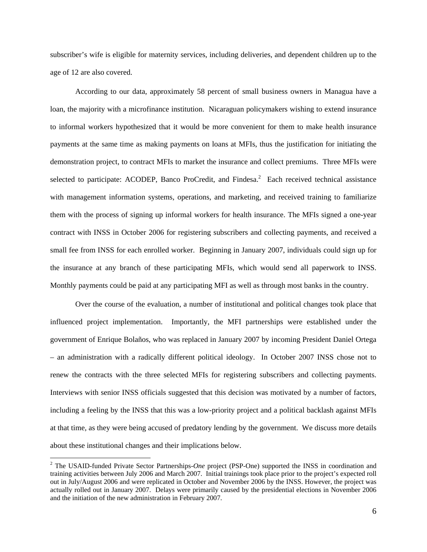subscriber's wife is eligible for maternity services, including deliveries, and dependent children up to the age of 12 are also covered.

According to our data, approximately 58 percent of small business owners in Managua have a loan, the majority with a microfinance institution. Nicaraguan policymakers wishing to extend insurance to informal workers hypothesized that it would be more convenient for them to make health insurance payments at the same time as making payments on loans at MFIs, thus the justification for initiating the demonstration project, to contract MFIs to market the insurance and collect premiums. Three MFIs were selected to participate: ACODEP, Banco ProCredit, and Findesa.<sup>2</sup> Each received technical assistance with management information systems, operations, and marketing, and received training to familiarize them with the process of signing up informal workers for health insurance. The MFIs signed a one-year contract with INSS in October 2006 for registering subscribers and collecting payments, and received a small fee from INSS for each enrolled worker. Beginning in January 2007, individuals could sign up for the insurance at any branch of these participating MFIs, which would send all paperwork to INSS. Monthly payments could be paid at any participating MFI as well as through most banks in the country.

Over the course of the evaluation, a number of institutional and political changes took place that influenced project implementation. Importantly, the MFI partnerships were established under the government of Enrique Bolaños, who was replaced in January 2007 by incoming President Daniel Ortega – an administration with a radically different political ideology. In October 2007 INSS chose not to renew the contracts with the three selected MFIs for registering subscribers and collecting payments. Interviews with senior INSS officials suggested that this decision was motivated by a number of factors, including a feeling by the INSS that this was a low-priority project and a political backlash against MFIs at that time, as they were being accused of predatory lending by the government. We discuss more details about these institutional changes and their implications below.

 $\overline{a}$ 

<sup>&</sup>lt;sup>2</sup> The USAID-funded Private Sector Partnerships-*One* project (PSP-One) supported the INSS in coordination and training activities between July 2006 and March 2007. Initial trainings took place prior to the project's expected roll out in July/August 2006 and were replicated in October and November 2006 by the INSS. However, the project was actually rolled out in January 2007. Delays were primarily caused by the presidential elections in November 2006 and the initiation of the new administration in February 2007.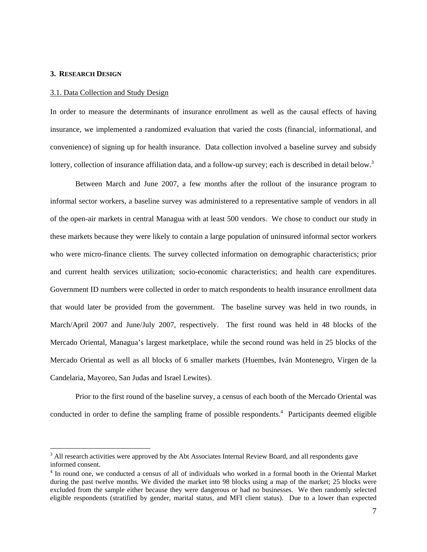#### **3. RESEARCH DESIGN**

 $\overline{a}$ 

#### 3.1. Data Collection and Study Design

In order to measure the determinants of insurance enrollment as well as the causal effects of having insurance, we implemented a randomized evaluation that varied the costs (financial, informational, and convenience) of signing up for health insurance. Data collection involved a baseline survey and subsidy lottery, collection of insurance affiliation data, and a follow-up survey; each is described in detail below.<sup>3</sup>

Between March and June 2007, a few months after the rollout of the insurance program to informal sector workers, a baseline survey was administered to a representative sample of vendors in all of the open-air markets in central Managua with at least 500 vendors. We chose to conduct our study in these markets because they were likely to contain a large population of uninsured informal sector workers who were micro-finance clients. The survey collected information on demographic characteristics; prior and current health services utilization; socio-economic characteristics; and health care expenditures. Government ID numbers were collected in order to match respondents to health insurance enrollment data that would later be provided from the government. The baseline survey was held in two rounds, in March/April 2007 and June/July 2007, respectively. The first round was held in 48 blocks of the Mercado Oriental, Managua's largest marketplace, while the second round was held in 25 blocks of the Mercado Oriental as well as all blocks of 6 smaller markets (Huembes, Iván Montenegro, Virgen de la Candelaria, Mayoreo, San Judas and Israel Lewites).

Prior to the first round of the baseline survey, a census of each booth of the Mercado Oriental was conducted in order to define the sampling frame of possible respondents.<sup>4</sup> Participants deemed eligible

<sup>&</sup>lt;sup>3</sup> All research activities were approved by the Abt Associates Internal Review Board, and all respondents gave informed consent.

<sup>&</sup>lt;sup>4</sup> In round one, we conducted a census of all of individuals who worked in a formal booth in the Oriental Market during the past twelve months. We divided the market into 98 blocks using a map of the market; 25 blocks were excluded from the sample either because they were dangerous or had no businesses. We then randomly selected eligible respondents (stratified by gender, marital status, and MFI client status). Due to a lower than expected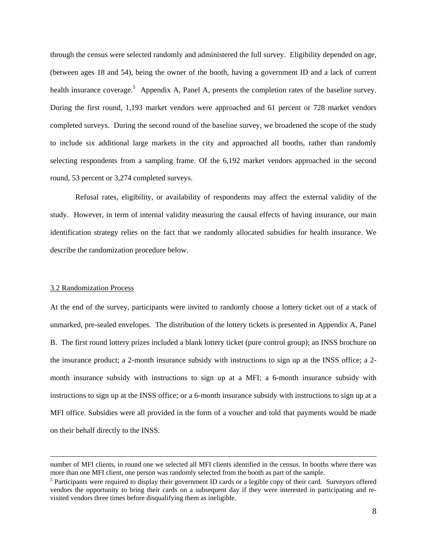through the census were selected randomly and administered the full survey. Eligibility depended on age, (between ages 18 and 54), being the owner of the booth, having a government ID and a lack of current health insurance coverage.<sup>5</sup> Appendix A, Panel A, presents the completion rates of the baseline survey. During the first round, 1,193 market vendors were approached and 61 percent or 728 market vendors completed surveys. During the second round of the baseline survey, we broadened the scope of the study to include six additional large markets in the city and approached all booths, rather than randomly selecting respondents from a sampling frame. Of the 6,192 market vendors approached in the second round, 53 percent or 3,274 completed surveys.

Refusal rates, eligibility, or availability of respondents may affect the external validity of the study. However, in term of internal validity measuring the causal effects of having insurance, our main identification strategy relies on the fact that we randomly allocated subsidies for health insurance. We describe the randomization procedure below.

#### 3.2 Randomization Process

At the end of the survey, participants were invited to randomly choose a lottery ticket out of a stack of unmarked, pre-sealed envelopes. The distribution of the lottery tickets is presented in Appendix A, Panel B. The first round lottery prizes included a blank lottery ticket (pure control group); an INSS brochure on the insurance product; a 2-month insurance subsidy with instructions to sign up at the INSS office; a 2 month insurance subsidy with instructions to sign up at a MFI; a 6-month insurance subsidy with instructions to sign up at the INSS office; or a 6-month insurance subsidy with instructions to sign up at a MFI office. Subsidies were all provided in the form of a voucher and told that payments would be made on their behalf directly to the INSS.

number of MFI clients, in round one we selected all MFI clients identified in the census. In booths where there was more than one MFI client, one person was randomly selected from the booth as part of the sample.

<sup>&</sup>lt;sup>5</sup> Participants were required to display their government ID cards or a legible copy of their card. Surveyors offered vendors the opportunity to bring their cards on a subsequent day if they were interested in participating and revisited vendors three times before disqualifying them as ineligible.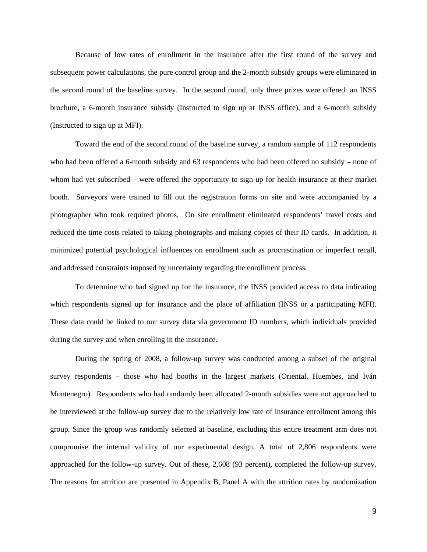Because of low rates of enrollment in the insurance after the first round of the survey and subsequent power calculations, the pure control group and the 2-month subsidy groups were eliminated in the second round of the baseline survey. In the second round, only three prizes were offered: an INSS brochure, a 6-month insurance subsidy (Instructed to sign up at INSS office), and a 6-month subsidy (Instructed to sign up at MFI).

Toward the end of the second round of the baseline survey, a random sample of 112 respondents who had been offered a 6-month subsidy and 63 respondents who had been offered no subsidy – none of whom had yet subscribed – were offered the opportunity to sign up for health insurance at their market booth. Surveyors were trained to fill out the registration forms on site and were accompanied by a photographer who took required photos. On site enrollment eliminated respondents' travel costs and reduced the time costs related to taking photographs and making copies of their ID cards. In addition, it minimized potential psychological influences on enrollment such as procrastination or imperfect recall, and addressed constraints imposed by uncertainty regarding the enrollment process.

To determine who had signed up for the insurance, the INSS provided access to data indicating which respondents signed up for insurance and the place of affiliation (INSS or a participating MFI). These data could be linked to our survey data via government ID numbers, which individuals provided during the survey and when enrolling in the insurance.

During the spring of 2008, a follow-up survey was conducted among a subset of the original survey respondents – those who had booths in the largest markets (Oriental, Huembes, and Iván Montenegro). Respondents who had randomly been allocated 2-month subsidies were not approached to be interviewed at the follow-up survey due to the relatively low rate of insurance enrollment among this group. Since the group was randomly selected at baseline, excluding this entire treatment arm does not compromise the internal validity of our experimental design. A total of 2,806 respondents were approached for the follow-up survey. Out of these, 2,608 (93 percent), completed the follow-up survey. The reasons for attrition are presented in Appendix B, Panel A with the attrition rates by randomization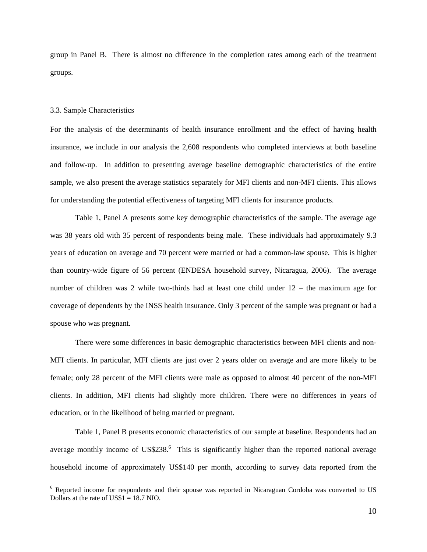group in Panel B. There is almost no difference in the completion rates among each of the treatment groups.

#### 3.3. Sample Characteristics

For the analysis of the determinants of health insurance enrollment and the effect of having health insurance, we include in our analysis the 2,608 respondents who completed interviews at both baseline and follow-up. In addition to presenting average baseline demographic characteristics of the entire sample, we also present the average statistics separately for MFI clients and non-MFI clients. This allows for understanding the potential effectiveness of targeting MFI clients for insurance products.

Table 1, Panel A presents some key demographic characteristics of the sample. The average age was 38 years old with 35 percent of respondents being male. These individuals had approximately 9.3 years of education on average and 70 percent were married or had a common-law spouse. This is higher than country-wide figure of 56 percent (ENDESA household survey, Nicaragua, 2006). The average number of children was 2 while two-thirds had at least one child under 12 – the maximum age for coverage of dependents by the INSS health insurance. Only 3 percent of the sample was pregnant or had a spouse who was pregnant.

 There were some differences in basic demographic characteristics between MFI clients and non-MFI clients. In particular, MFI clients are just over 2 years older on average and are more likely to be female; only 28 percent of the MFI clients were male as opposed to almost 40 percent of the non-MFI clients. In addition, MFI clients had slightly more children. There were no differences in years of education, or in the likelihood of being married or pregnant.

Table 1, Panel B presents economic characteristics of our sample at baseline. Respondents had an average monthly income of US\$238.<sup>6</sup> This is significantly higher than the reported national average household income of approximately US\$140 per month, according to survey data reported from the

<sup>&</sup>lt;sup>6</sup> Reported income for respondents and their spouse was reported in Nicaraguan Cordoba was converted to US Dollars at the rate of US\$1 = 18.7 NIO.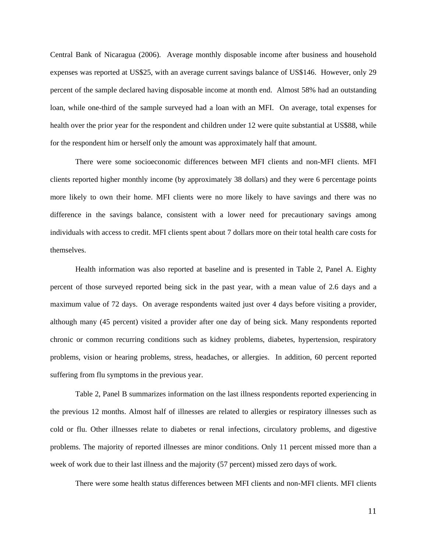Central Bank of Nicaragua (2006). Average monthly disposable income after business and household expenses was reported at US\$25, with an average current savings balance of US\$146. However, only 29 percent of the sample declared having disposable income at month end. Almost 58% had an outstanding loan, while one-third of the sample surveyed had a loan with an MFI. On average, total expenses for health over the prior year for the respondent and children under 12 were quite substantial at US\$88, while for the respondent him or herself only the amount was approximately half that amount.

There were some socioeconomic differences between MFI clients and non-MFI clients. MFI clients reported higher monthly income (by approximately 38 dollars) and they were 6 percentage points more likely to own their home. MFI clients were no more likely to have savings and there was no difference in the savings balance, consistent with a lower need for precautionary savings among individuals with access to credit. MFI clients spent about 7 dollars more on their total health care costs for themselves.

Health information was also reported at baseline and is presented in Table 2, Panel A. Eighty percent of those surveyed reported being sick in the past year, with a mean value of 2.6 days and a maximum value of 72 days. On average respondents waited just over 4 days before visiting a provider, although many (45 percent) visited a provider after one day of being sick. Many respondents reported chronic or common recurring conditions such as kidney problems, diabetes, hypertension, respiratory problems, vision or hearing problems, stress, headaches, or allergies. In addition, 60 percent reported suffering from flu symptoms in the previous year.

Table 2, Panel B summarizes information on the last illness respondents reported experiencing in the previous 12 months. Almost half of illnesses are related to allergies or respiratory illnesses such as cold or flu. Other illnesses relate to diabetes or renal infections, circulatory problems, and digestive problems. The majority of reported illnesses are minor conditions. Only 11 percent missed more than a week of work due to their last illness and the majority (57 percent) missed zero days of work.

There were some health status differences between MFI clients and non-MFI clients. MFI clients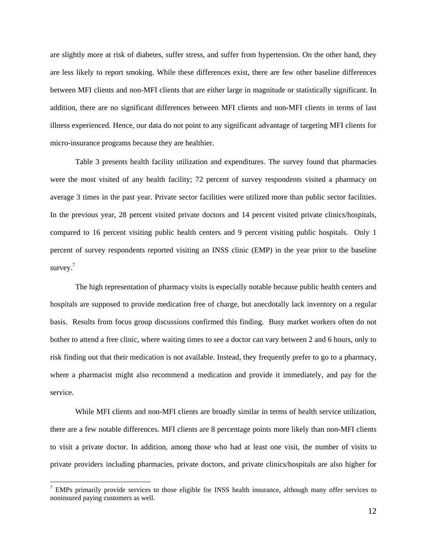are slightly more at risk of diabetes, suffer stress, and suffer from hypertension. On the other hand, they are less likely to report smoking. While these differences exist, there are few other baseline differences between MFI clients and non-MFI clients that are either large in magnitude or statistically significant. In addition, there are no significant differences between MFI clients and non-MFI clients in terms of last illness experienced. Hence, our data do not point to any significant advantage of targeting MFI clients for micro-insurance programs because they are healthier.

Table 3 presents health facility utilization and expenditures. The survey found that pharmacies were the most visited of any health facility; 72 percent of survey respondents visited a pharmacy on average 3 times in the past year. Private sector facilities were utilized more than public sector facilities. In the previous year, 28 percent visited private doctors and 14 percent visited private clinics/hospitals, compared to 16 percent visiting public health centers and 9 percent visiting public hospitals. Only 1 percent of survey respondents reported visiting an INSS clinic (EMP) in the year prior to the baseline survey. $7$ 

The high representation of pharmacy visits is especially notable because public health centers and hospitals are supposed to provide medication free of charge, but anecdotally lack inventory on a regular basis. Results from focus group discussions confirmed this finding. Busy market workers often do not bother to attend a free clinic, where waiting times to see a doctor can vary between 2 and 6 hours, only to risk finding out that their medication is not available. Instead, they frequently prefer to go to a pharmacy, where a pharmacist might also recommend a medication and provide it immediately, and pay for the service.

While MFI clients and non-MFI clients are broadly similar in terms of health service utilization, there are a few notable differences. MFI clients are 8 percentage points more likely than non-MFI clients to visit a private doctor. In addition, among those who had at least one visit, the number of visits to private providers including pharmacies, private doctors, and private clinics/hospitals are also higher for

 $\overline{a}$ 

 $<sup>7</sup>$  EMPs primarily provide services to those eligible for INSS health insurance, although many offer services to</sup> noninsured paying customers as well.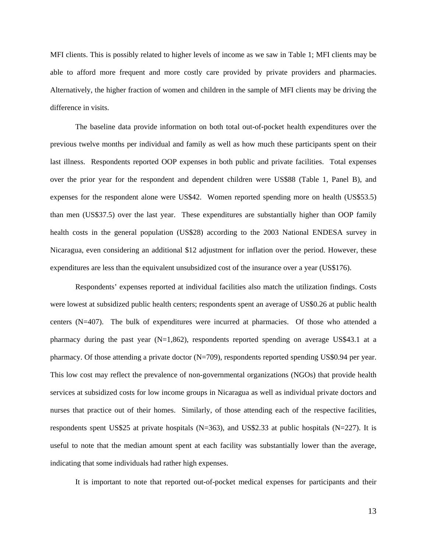MFI clients. This is possibly related to higher levels of income as we saw in Table 1; MFI clients may be able to afford more frequent and more costly care provided by private providers and pharmacies. Alternatively, the higher fraction of women and children in the sample of MFI clients may be driving the difference in visits.

The baseline data provide information on both total out-of-pocket health expenditures over the previous twelve months per individual and family as well as how much these participants spent on their last illness. Respondents reported OOP expenses in both public and private facilities. Total expenses over the prior year for the respondent and dependent children were US\$88 (Table 1, Panel B), and expenses for the respondent alone were US\$42. Women reported spending more on health (US\$53.5) than men (US\$37.5) over the last year. These expenditures are substantially higher than OOP family health costs in the general population (US\$28) according to the 2003 National ENDESA survey in Nicaragua, even considering an additional \$12 adjustment for inflation over the period. However, these expenditures are less than the equivalent unsubsidized cost of the insurance over a year (US\$176).

Respondents' expenses reported at individual facilities also match the utilization findings. Costs were lowest at subsidized public health centers; respondents spent an average of US\$0.26 at public health centers (N=407). The bulk of expenditures were incurred at pharmacies. Of those who attended a pharmacy during the past year  $(N=1,862)$ , respondents reported spending on average US\$43.1 at a pharmacy. Of those attending a private doctor (N=709), respondents reported spending US\$0.94 per year. This low cost may reflect the prevalence of non-governmental organizations (NGOs) that provide health services at subsidized costs for low income groups in Nicaragua as well as individual private doctors and nurses that practice out of their homes. Similarly, of those attending each of the respective facilities, respondents spent US\$25 at private hospitals (N=363), and US\$2.33 at public hospitals (N=227). It is useful to note that the median amount spent at each facility was substantially lower than the average, indicating that some individuals had rather high expenses.

It is important to note that reported out-of-pocket medical expenses for participants and their

13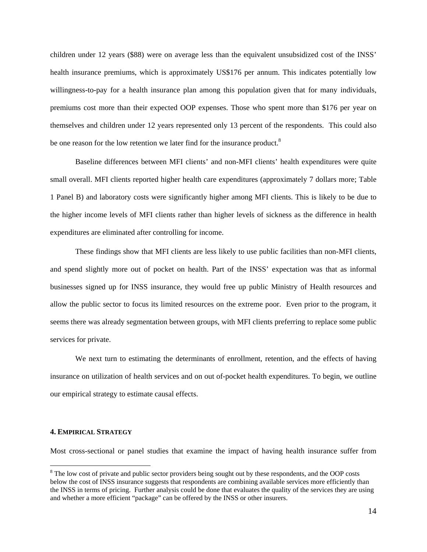children under 12 years (\$88) were on average less than the equivalent unsubsidized cost of the INSS' health insurance premiums, which is approximately US\$176 per annum. This indicates potentially low willingness-to-pay for a health insurance plan among this population given that for many individuals, premiums cost more than their expected OOP expenses. Those who spent more than \$176 per year on themselves and children under 12 years represented only 13 percent of the respondents. This could also be one reason for the low retention we later find for the insurance product.<sup>8</sup>

Baseline differences between MFI clients' and non-MFI clients' health expenditures were quite small overall. MFI clients reported higher health care expenditures (approximately 7 dollars more; Table 1 Panel B) and laboratory costs were significantly higher among MFI clients. This is likely to be due to the higher income levels of MFI clients rather than higher levels of sickness as the difference in health expenditures are eliminated after controlling for income.

These findings show that MFI clients are less likely to use public facilities than non-MFI clients, and spend slightly more out of pocket on health. Part of the INSS' expectation was that as informal businesses signed up for INSS insurance, they would free up public Ministry of Health resources and allow the public sector to focus its limited resources on the extreme poor. Even prior to the program, it seems there was already segmentation between groups, with MFI clients preferring to replace some public services for private.

We next turn to estimating the determinants of enrollment, retention, and the effects of having insurance on utilization of health services and on out of-pocket health expenditures. To begin, we outline our empirical strategy to estimate causal effects.

#### **4. EMPIRICAL STRATEGY**

 $\overline{a}$ 

Most cross-sectional or panel studies that examine the impact of having health insurance suffer from

 $8$  The low cost of private and public sector providers being sought out by these respondents, and the OOP costs below the cost of INSS insurance suggests that respondents are combining available services more efficiently than the INSS in terms of pricing. Further analysis could be done that evaluates the quality of the services they are using and whether a more efficient "package" can be offered by the INSS or other insurers.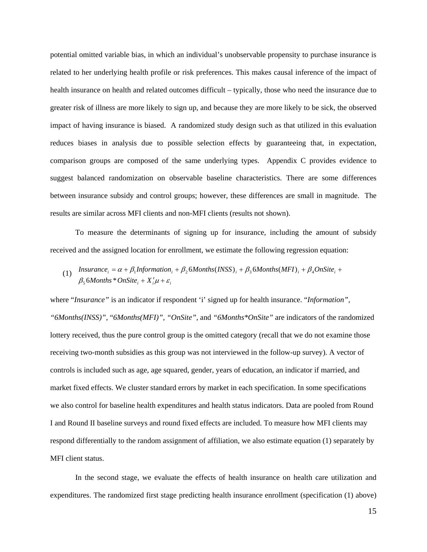potential omitted variable bias, in which an individual's unobservable propensity to purchase insurance is related to her underlying health profile or risk preferences. This makes causal inference of the impact of health insurance on health and related outcomes difficult – typically, those who need the insurance due to greater risk of illness are more likely to sign up, and because they are more likely to be sick, the observed impact of having insurance is biased. A randomized study design such as that utilized in this evaluation reduces biases in analysis due to possible selection effects by guaranteeing that, in expectation, comparison groups are composed of the same underlying types. Appendix C provides evidence to suggest balanced randomization on observable baseline characteristics. There are some differences between insurance subsidy and control groups; however, these differences are small in magnitude. The results are similar across MFI clients and non-MFI clients (results not shown).

To measure the determinants of signing up for insurance, including the amount of subsidy received and the assigned location for enrollment, we estimate the following regression equation:

(1)  $\beta_5$  6 *Months*  $*$  *OnSite*<sub>*i*</sub> +  $X_i' \mu$  +  $\varepsilon_i$ *Insurance*<sub>*i*</sub> =  $\alpha + \beta_1$ *Information*<sub>*i*</sub> +  $\beta_2$ 6*Months*(*INSS*)<sub>*i*</sub> +  $\beta_3$ 6*Months*(*MFI*)<sub>*i*</sub> +  $\beta_4$ *OnSite*<sub>*i*</sub></sub> +

where "*Insurance*" is an indicator if respondent 'i' signed up for health insurance. "*Information*", *"6Months(INSS)",* "*6Months(MFI)", "OnSite",* and *"6Months\*OnSite"* are indicators of the randomized lottery received, thus the pure control group is the omitted category (recall that we do not examine those receiving two-month subsidies as this group was not interviewed in the follow-up survey). A vector of controls is included such as age, age squared, gender, years of education, an indicator if married, and market fixed effects. We cluster standard errors by market in each specification. In some specifications we also control for baseline health expenditures and health status indicators. Data are pooled from Round I and Round II baseline surveys and round fixed effects are included. To measure how MFI clients may respond differentially to the random assignment of affiliation, we also estimate equation (1) separately by MFI client status.

In the second stage, we evaluate the effects of health insurance on health care utilization and expenditures. The randomized first stage predicting health insurance enrollment (specification (1) above)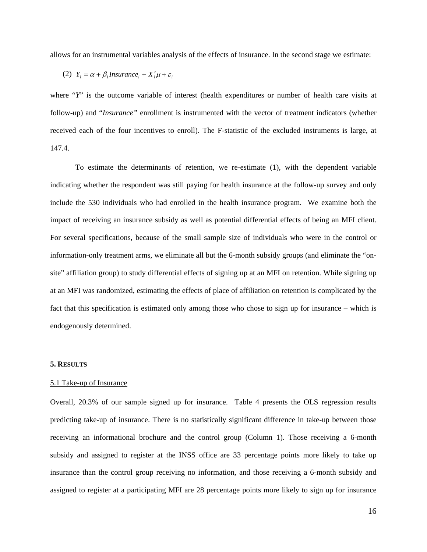allows for an instrumental variables analysis of the effects of insurance. In the second stage we estimate:

(2) 
$$
Y_i = \alpha + \beta_1
$$
 *Insurance*<sub>i</sub> +  $X'_i \mu + \varepsilon_i$ 

where "*Y*" is the outcome variable of interest (health expenditures or number of health care visits at follow-up) and "*Insurance"* enrollment is instrumented with the vector of treatment indicators (whether received each of the four incentives to enroll). The F-statistic of the excluded instruments is large, at 147.4.

To estimate the determinants of retention, we re-estimate (1), with the dependent variable indicating whether the respondent was still paying for health insurance at the follow-up survey and only include the 530 individuals who had enrolled in the health insurance program. We examine both the impact of receiving an insurance subsidy as well as potential differential effects of being an MFI client. For several specifications, because of the small sample size of individuals who were in the control or information-only treatment arms, we eliminate all but the 6-month subsidy groups (and eliminate the "onsite" affiliation group) to study differential effects of signing up at an MFI on retention. While signing up at an MFI was randomized, estimating the effects of place of affiliation on retention is complicated by the fact that this specification is estimated only among those who chose to sign up for insurance – which is endogenously determined.

#### **5. RESULTS**

#### 5.1 Take-up of Insurance

Overall, 20.3% of our sample signed up for insurance. Table 4 presents the OLS regression results predicting take-up of insurance. There is no statistically significant difference in take-up between those receiving an informational brochure and the control group (Column 1). Those receiving a 6-month subsidy and assigned to register at the INSS office are 33 percentage points more likely to take up insurance than the control group receiving no information, and those receiving a 6-month subsidy and assigned to register at a participating MFI are 28 percentage points more likely to sign up for insurance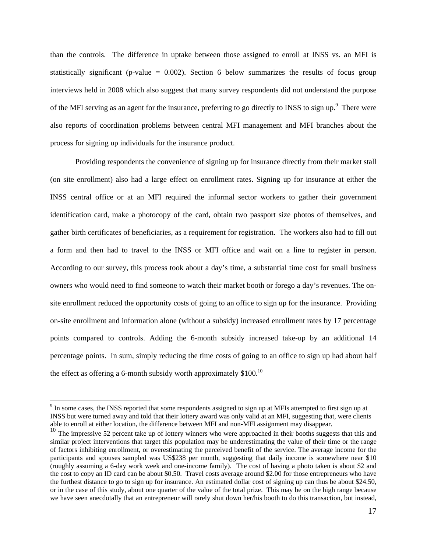than the controls. The difference in uptake between those assigned to enroll at INSS vs. an MFI is statistically significant (p-value  $= 0.002$ ). Section 6 below summarizes the results of focus group interviews held in 2008 which also suggest that many survey respondents did not understand the purpose of the MFI serving as an agent for the insurance, preferring to go directly to INSS to sign up.<sup>9</sup> There were also reports of coordination problems between central MFI management and MFI branches about the process for signing up individuals for the insurance product.

Providing respondents the convenience of signing up for insurance directly from their market stall (on site enrollment) also had a large effect on enrollment rates. Signing up for insurance at either the INSS central office or at an MFI required the informal sector workers to gather their government identification card, make a photocopy of the card, obtain two passport size photos of themselves, and gather birth certificates of beneficiaries, as a requirement for registration. The workers also had to fill out a form and then had to travel to the INSS or MFI office and wait on a line to register in person. According to our survey, this process took about a day's time, a substantial time cost for small business owners who would need to find someone to watch their market booth or forego a day's revenues. The onsite enrollment reduced the opportunity costs of going to an office to sign up for the insurance. Providing on-site enrollment and information alone (without a subsidy) increased enrollment rates by 17 percentage points compared to controls. Adding the 6-month subsidy increased take-up by an additional 14 percentage points. In sum, simply reducing the time costs of going to an office to sign up had about half the effect as offering a 6-month subsidy worth approximately  $$100$ <sup>10</sup>

 $\overline{a}$ 

 $9<sup>9</sup>$  In some cases, the INSS reported that some respondents assigned to sign up at MFIs attempted to first sign up at INSS but were turned away and told that their lottery award was only valid at an MFI, suggesting that, were clients able to enroll at either location, the difference between MFI and non-MFI assignment may disappear.

 $10$  The impressive 52 percent take up of lottery winners who were approached in their booths suggests that this and similar project interventions that target this population may be underestimating the value of their time or the range of factors inhibiting enrollment, or overestimating the perceived benefit of the service. The average income for the participants and spouses sampled was US\$238 per month, suggesting that daily income is somewhere near \$10 (roughly assuming a 6-day work week and one-income family). The cost of having a photo taken is about \$2 and the cost to copy an ID card can be about \$0.50. Travel costs average around \$2.00 for those entrepreneurs who have the furthest distance to go to sign up for insurance. An estimated dollar cost of signing up can thus be about \$24.50, or in the case of this study, about one quarter of the value of the total prize. This may be on the high range because we have seen anecdotally that an entrepreneur will rarely shut down her/his booth to do this transaction, but instead,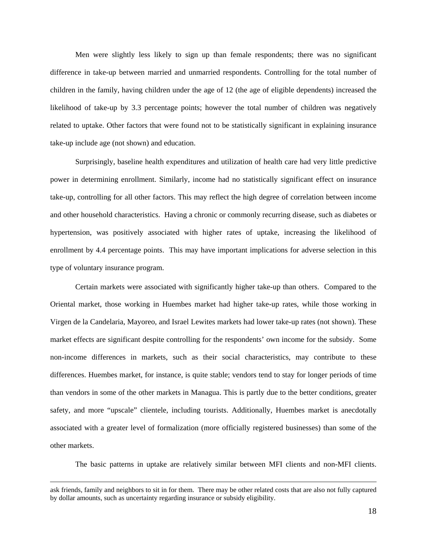Men were slightly less likely to sign up than female respondents; there was no significant difference in take-up between married and unmarried respondents. Controlling for the total number of children in the family, having children under the age of 12 (the age of eligible dependents) increased the likelihood of take-up by 3.3 percentage points; however the total number of children was negatively related to uptake. Other factors that were found not to be statistically significant in explaining insurance take-up include age (not shown) and education.

Surprisingly, baseline health expenditures and utilization of health care had very little predictive power in determining enrollment. Similarly, income had no statistically significant effect on insurance take-up, controlling for all other factors. This may reflect the high degree of correlation between income and other household characteristics. Having a chronic or commonly recurring disease, such as diabetes or hypertension, was positively associated with higher rates of uptake, increasing the likelihood of enrollment by 4.4 percentage points. This may have important implications for adverse selection in this type of voluntary insurance program.

Certain markets were associated with significantly higher take-up than others. Compared to the Oriental market, those working in Huembes market had higher take-up rates, while those working in Virgen de la Candelaria, Mayoreo, and Israel Lewites markets had lower take-up rates (not shown). These market effects are significant despite controlling for the respondents' own income for the subsidy. Some non-income differences in markets, such as their social characteristics, may contribute to these differences. Huembes market, for instance, is quite stable; vendors tend to stay for longer periods of time than vendors in some of the other markets in Managua. This is partly due to the better conditions, greater safety, and more "upscale" clientele, including tourists. Additionally, Huembes market is anecdotally associated with a greater level of formalization (more officially registered businesses) than some of the other markets.

The basic patterns in uptake are relatively similar between MFI clients and non-MFI clients.

ask friends, family and neighbors to sit in for them. There may be other related costs that are also not fully captured by dollar amounts, such as uncertainty regarding insurance or subsidy eligibility.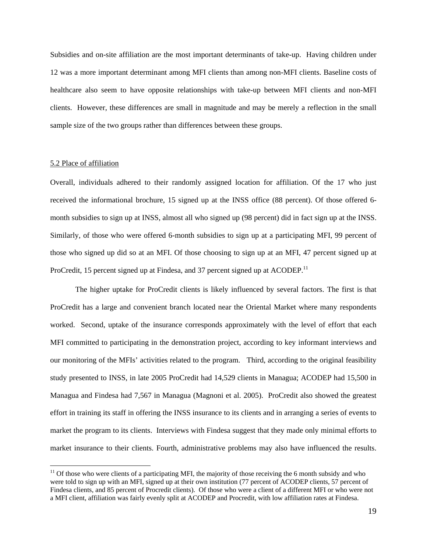Subsidies and on-site affiliation are the most important determinants of take-up. Having children under 12 was a more important determinant among MFI clients than among non-MFI clients. Baseline costs of healthcare also seem to have opposite relationships with take-up between MFI clients and non-MFI clients. However, these differences are small in magnitude and may be merely a reflection in the small sample size of the two groups rather than differences between these groups.

#### 5.2 Place of affiliation

 $\overline{a}$ 

Overall, individuals adhered to their randomly assigned location for affiliation. Of the 17 who just received the informational brochure, 15 signed up at the INSS office (88 percent). Of those offered 6 month subsidies to sign up at INSS, almost all who signed up (98 percent) did in fact sign up at the INSS. Similarly, of those who were offered 6-month subsidies to sign up at a participating MFI, 99 percent of those who signed up did so at an MFI. Of those choosing to sign up at an MFI, 47 percent signed up at ProCredit, 15 percent signed up at Findesa, and 37 percent signed up at  $ACODEP<sup>11</sup>$ .

The higher uptake for ProCredit clients is likely influenced by several factors. The first is that ProCredit has a large and convenient branch located near the Oriental Market where many respondents worked. Second, uptake of the insurance corresponds approximately with the level of effort that each MFI committed to participating in the demonstration project, according to key informant interviews and our monitoring of the MFIs' activities related to the program. Third, according to the original feasibility study presented to INSS, in late 2005 ProCredit had 14,529 clients in Managua; ACODEP had 15,500 in Managua and Findesa had 7,567 in Managua (Magnoni et al. 2005). ProCredit also showed the greatest effort in training its staff in offering the INSS insurance to its clients and in arranging a series of events to market the program to its clients. Interviews with Findesa suggest that they made only minimal efforts to market insurance to their clients. Fourth, administrative problems may also have influenced the results.

<sup>&</sup>lt;sup>11</sup> Of those who were clients of a participating MFI, the majority of those receiving the 6 month subsidy and who were told to sign up with an MFI, signed up at their own institution (77 percent of ACODEP clients, 57 percent of Findesa clients, and 85 percent of Procredit clients). Of those who were a client of a different MFI or who were not a MFI client, affiliation was fairly evenly split at ACODEP and Procredit, with low affiliation rates at Findesa.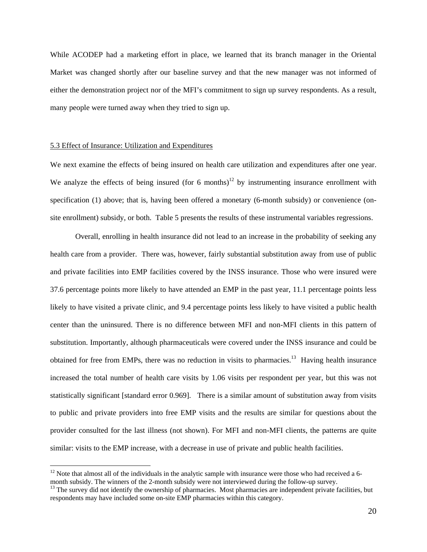While ACODEP had a marketing effort in place, we learned that its branch manager in the Oriental Market was changed shortly after our baseline survey and that the new manager was not informed of either the demonstration project nor of the MFI's commitment to sign up survey respondents. As a result, many people were turned away when they tried to sign up.

#### 5.3 Effect of Insurance: Utilization and Expenditures

 $\overline{a}$ 

We next examine the effects of being insured on health care utilization and expenditures after one year. We analyze the effects of being insured (for 6 months)<sup>12</sup> by instrumenting insurance enrollment with specification (1) above; that is, having been offered a monetary (6-month subsidy) or convenience (onsite enrollment) subsidy, or both. Table 5 presents the results of these instrumental variables regressions.

Overall, enrolling in health insurance did not lead to an increase in the probability of seeking any health care from a provider. There was, however, fairly substantial substitution away from use of public and private facilities into EMP facilities covered by the INSS insurance. Those who were insured were 37.6 percentage points more likely to have attended an EMP in the past year, 11.1 percentage points less likely to have visited a private clinic, and 9.4 percentage points less likely to have visited a public health center than the uninsured. There is no difference between MFI and non-MFI clients in this pattern of substitution. Importantly, although pharmaceuticals were covered under the INSS insurance and could be obtained for free from EMPs, there was no reduction in visits to pharmacies.<sup>13</sup> Having health insurance increased the total number of health care visits by 1.06 visits per respondent per year, but this was not statistically significant [standard error 0.969]. There is a similar amount of substitution away from visits to public and private providers into free EMP visits and the results are similar for questions about the provider consulted for the last illness (not shown). For MFI and non-MFI clients, the patterns are quite similar: visits to the EMP increase, with a decrease in use of private and public health facilities.

 $12$  Note that almost all of the individuals in the analytic sample with insurance were those who had received a 6month subsidy. The winners of the 2-month subsidy were not interviewed during the follow-up survey.

<sup>&</sup>lt;sup>13</sup> The survey did not identify the ownership of pharmacies. Most pharmacies are independent private facilities, but respondents may have included some on-site EMP pharmacies within this category.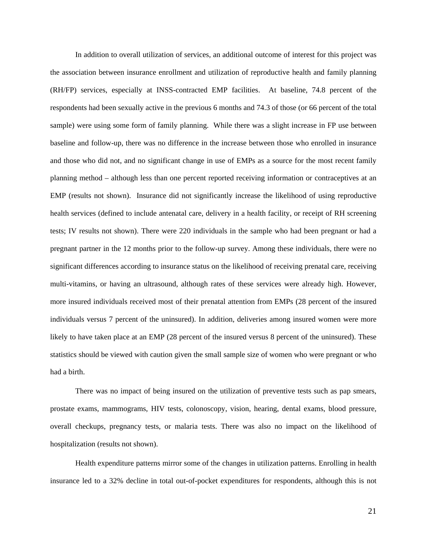In addition to overall utilization of services, an additional outcome of interest for this project was the association between insurance enrollment and utilization of reproductive health and family planning (RH/FP) services, especially at INSS-contracted EMP facilities. At baseline, 74.8 percent of the respondents had been sexually active in the previous 6 months and 74.3 of those (or 66 percent of the total sample) were using some form of family planning. While there was a slight increase in FP use between baseline and follow-up, there was no difference in the increase between those who enrolled in insurance and those who did not, and no significant change in use of EMPs as a source for the most recent family planning method – although less than one percent reported receiving information or contraceptives at an EMP (results not shown). Insurance did not significantly increase the likelihood of using reproductive health services (defined to include antenatal care, delivery in a health facility, or receipt of RH screening tests; IV results not shown). There were 220 individuals in the sample who had been pregnant or had a pregnant partner in the 12 months prior to the follow-up survey. Among these individuals, there were no significant differences according to insurance status on the likelihood of receiving prenatal care, receiving multi-vitamins, or having an ultrasound, although rates of these services were already high. However, more insured individuals received most of their prenatal attention from EMPs (28 percent of the insured individuals versus 7 percent of the uninsured). In addition, deliveries among insured women were more likely to have taken place at an EMP (28 percent of the insured versus 8 percent of the uninsured). These statistics should be viewed with caution given the small sample size of women who were pregnant or who had a birth.

There was no impact of being insured on the utilization of preventive tests such as pap smears, prostate exams, mammograms, HIV tests, colonoscopy, vision, hearing, dental exams, blood pressure, overall checkups, pregnancy tests, or malaria tests. There was also no impact on the likelihood of hospitalization (results not shown).

Health expenditure patterns mirror some of the changes in utilization patterns. Enrolling in health insurance led to a 32% decline in total out-of-pocket expenditures for respondents, although this is not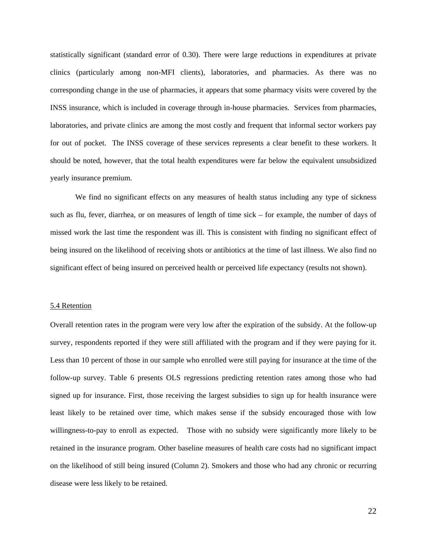statistically significant (standard error of 0.30). There were large reductions in expenditures at private clinics (particularly among non-MFI clients), laboratories, and pharmacies. As there was no corresponding change in the use of pharmacies, it appears that some pharmacy visits were covered by the INSS insurance, which is included in coverage through in-house pharmacies. Services from pharmacies, laboratories, and private clinics are among the most costly and frequent that informal sector workers pay for out of pocket. The INSS coverage of these services represents a clear benefit to these workers. It should be noted, however, that the total health expenditures were far below the equivalent unsubsidized yearly insurance premium.

We find no significant effects on any measures of health status including any type of sickness such as flu, fever, diarrhea, or on measures of length of time sick – for example, the number of days of missed work the last time the respondent was ill. This is consistent with finding no significant effect of being insured on the likelihood of receiving shots or antibiotics at the time of last illness. We also find no significant effect of being insured on perceived health or perceived life expectancy (results not shown).

#### 5.4 Retention

Overall retention rates in the program were very low after the expiration of the subsidy. At the follow-up survey, respondents reported if they were still affiliated with the program and if they were paying for it. Less than 10 percent of those in our sample who enrolled were still paying for insurance at the time of the follow-up survey. Table 6 presents OLS regressions predicting retention rates among those who had signed up for insurance. First, those receiving the largest subsidies to sign up for health insurance were least likely to be retained over time, which makes sense if the subsidy encouraged those with low willingness-to-pay to enroll as expected. Those with no subsidy were significantly more likely to be retained in the insurance program. Other baseline measures of health care costs had no significant impact on the likelihood of still being insured (Column 2). Smokers and those who had any chronic or recurring disease were less likely to be retained.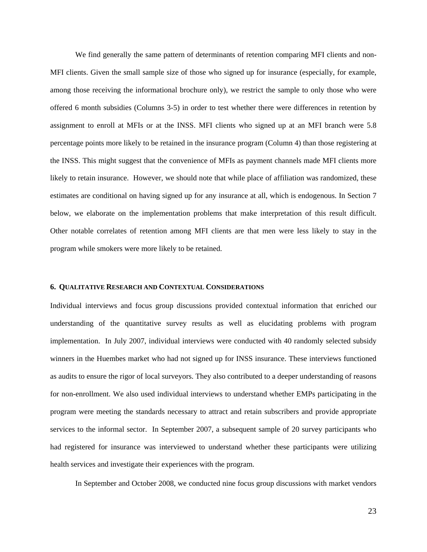We find generally the same pattern of determinants of retention comparing MFI clients and non-MFI clients. Given the small sample size of those who signed up for insurance (especially, for example, among those receiving the informational brochure only), we restrict the sample to only those who were offered 6 month subsidies (Columns 3-5) in order to test whether there were differences in retention by assignment to enroll at MFIs or at the INSS. MFI clients who signed up at an MFI branch were 5.8 percentage points more likely to be retained in the insurance program (Column 4) than those registering at the INSS. This might suggest that the convenience of MFIs as payment channels made MFI clients more likely to retain insurance. However, we should note that while place of affiliation was randomized, these estimates are conditional on having signed up for any insurance at all, which is endogenous. In Section 7 below, we elaborate on the implementation problems that make interpretation of this result difficult. Other notable correlates of retention among MFI clients are that men were less likely to stay in the program while smokers were more likely to be retained.

#### **6. QUALITATIVE RESEARCH AND CONTEXTUAL CONSIDERATIONS**

Individual interviews and focus group discussions provided contextual information that enriched our understanding of the quantitative survey results as well as elucidating problems with program implementation. In July 2007, individual interviews were conducted with 40 randomly selected subsidy winners in the Huembes market who had not signed up for INSS insurance. These interviews functioned as audits to ensure the rigor of local surveyors. They also contributed to a deeper understanding of reasons for non-enrollment. We also used individual interviews to understand whether EMPs participating in the program were meeting the standards necessary to attract and retain subscribers and provide appropriate services to the informal sector. In September 2007, a subsequent sample of 20 survey participants who had registered for insurance was interviewed to understand whether these participants were utilizing health services and investigate their experiences with the program.

In September and October 2008, we conducted nine focus group discussions with market vendors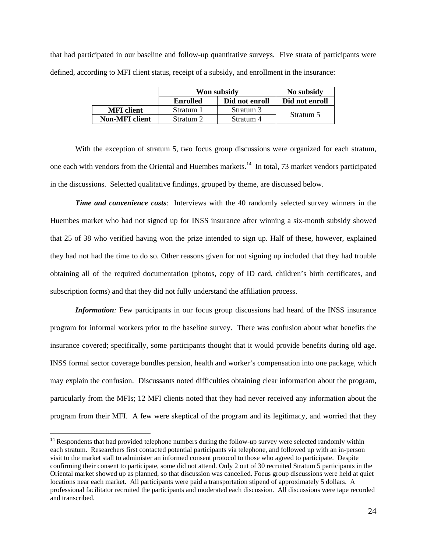that had participated in our baseline and follow-up quantitative surveys. Five strata of participants were defined, according to MFI client status, receipt of a subsidy, and enrollment in the insurance:

|                       | Won subsidy     | No subsidy     |                |
|-----------------------|-----------------|----------------|----------------|
|                       | <b>Enrolled</b> | Did not enroll | Did not enroll |
| <b>MFI</b> client     | Stratum 1       | Stratum 3      |                |
| <b>Non-MFI</b> client | Stratum 2       | Stratum 4      | Stratum 5      |

With the exception of stratum 5, two focus group discussions were organized for each stratum, one each with vendors from the Oriental and Huembes markets.14 In total, 73 market vendors participated in the discussions. Selected qualitative findings, grouped by theme, are discussed below.

*Time and convenience costs*: Interviews with the 40 randomly selected survey winners in the Huembes market who had not signed up for INSS insurance after winning a six-month subsidy showed that 25 of 38 who verified having won the prize intended to sign up. Half of these, however, explained they had not had the time to do so. Other reasons given for not signing up included that they had trouble obtaining all of the required documentation (photos, copy of ID card, children's birth certificates, and subscription forms) and that they did not fully understand the affiliation process.

*Information*: Few participants in our focus group discussions had heard of the INSS insurance program for informal workers prior to the baseline survey. There was confusion about what benefits the insurance covered; specifically, some participants thought that it would provide benefits during old age. INSS formal sector coverage bundles pension, health and worker's compensation into one package, which may explain the confusion. Discussants noted difficulties obtaining clear information about the program, particularly from the MFIs; 12 MFI clients noted that they had never received any information about the program from their MFI. A few were skeptical of the program and its legitimacy, and worried that they

 $\overline{a}$ 

<sup>&</sup>lt;sup>14</sup> Respondents that had provided telephone numbers during the follow-up survey were selected randomly within each stratum. Researchers first contacted potential participants via telephone, and followed up with an in-person visit to the market stall to administer an informed consent protocol to those who agreed to participate. Despite confirming their consent to participate, some did not attend. Only 2 out of 30 recruited Stratum 5 participants in the Oriental market showed up as planned, so that discussion was cancelled. Focus group discussions were held at quiet locations near each market. All participants were paid a transportation stipend of approximately 5 dollars. A professional facilitator recruited the participants and moderated each discussion. All discussions were tape recorded and transcribed.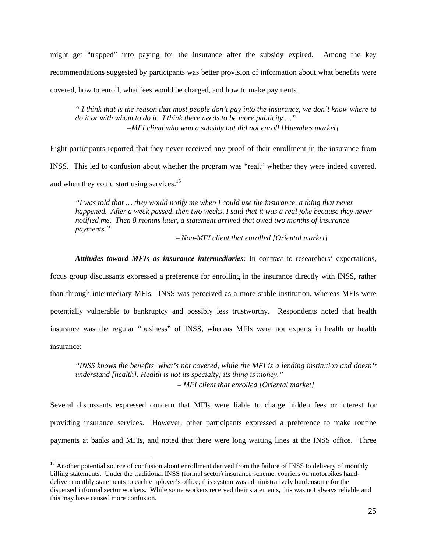might get "trapped" into paying for the insurance after the subsidy expired. Among the key recommendations suggested by participants was better provision of information about what benefits were covered, how to enroll, what fees would be charged, and how to make payments.

*" I think that is the reason that most people don't pay into the insurance, we don't know where to do it or with whom to do it. I think there needs to be more publicity …" –MFI client who won a subsidy but did not enroll [Huembes market]* 

Eight participants reported that they never received any proof of their enrollment in the insurance from INSS. This led to confusion about whether the program was "real," whether they were indeed covered, and when they could start using services.<sup>15</sup>

*"I was told that … they would notify me when I could use the insurance, a thing that never happened. After a week passed, then two weeks, I said that it was a real joke because they never notified me. Then 8 months later, a statement arrived that owed two months of insurance payments."* 

*– Non-MFI client that enrolled [Oriental market]*

*Attitudes toward MFIs as insurance intermediaries:* In contrast to researchers' expectations,

focus group discussants expressed a preference for enrolling in the insurance directly with INSS, rather than through intermediary MFIs. INSS was perceived as a more stable institution, whereas MFIs were potentially vulnerable to bankruptcy and possibly less trustworthy. Respondents noted that health insurance was the regular "business" of INSS, whereas MFIs were not experts in health or health insurance:

*"INSS knows the benefits, what's not covered, while the MFI is a lending institution and doesn't understand [health]. Health is not its specialty; its thing is money." – MFI client that enrolled [Oriental market]*

Several discussants expressed concern that MFIs were liable to charge hidden fees or interest for providing insurance services. However, other participants expressed a preference to make routine payments at banks and MFIs, and noted that there were long waiting lines at the INSS office. Three

 $\overline{a}$ 

<sup>&</sup>lt;sup>15</sup> Another potential source of confusion about enrollment derived from the failure of INSS to delivery of monthly billing statements. Under the traditional INSS (formal sector) insurance scheme, couriers on motorbikes handdeliver monthly statements to each employer's office; this system was administratively burdensome for the dispersed informal sector workers. While some workers received their statements, this was not always reliable and this may have caused more confusion.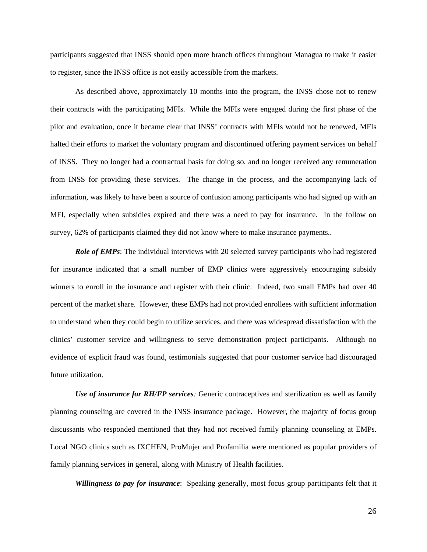participants suggested that INSS should open more branch offices throughout Managua to make it easier to register, since the INSS office is not easily accessible from the markets.

As described above, approximately 10 months into the program, the INSS chose not to renew their contracts with the participating MFIs. While the MFIs were engaged during the first phase of the pilot and evaluation, once it became clear that INSS' contracts with MFIs would not be renewed, MFIs halted their efforts to market the voluntary program and discontinued offering payment services on behalf of INSS. They no longer had a contractual basis for doing so, and no longer received any remuneration from INSS for providing these services. The change in the process, and the accompanying lack of information, was likely to have been a source of confusion among participants who had signed up with an MFI, especially when subsidies expired and there was a need to pay for insurance. In the follow on survey, 62% of participants claimed they did not know where to make insurance payments..

*Role of EMPs*: The individual interviews with 20 selected survey participants who had registered for insurance indicated that a small number of EMP clinics were aggressively encouraging subsidy winners to enroll in the insurance and register with their clinic. Indeed, two small EMPs had over 40 percent of the market share. However, these EMPs had not provided enrollees with sufficient information to understand when they could begin to utilize services, and there was widespread dissatisfaction with the clinics' customer service and willingness to serve demonstration project participants. Although no evidence of explicit fraud was found, testimonials suggested that poor customer service had discouraged future utilization.

*Use of insurance for RH/FP services:* Generic contraceptives and sterilization as well as family planning counseling are covered in the INSS insurance package. However, the majority of focus group discussants who responded mentioned that they had not received family planning counseling at EMPs. Local NGO clinics such as IXCHEN, ProMujer and Profamilia were mentioned as popular providers of family planning services in general, along with Ministry of Health facilities.

*Willingness to pay for insurance*: Speaking generally, most focus group participants felt that it

26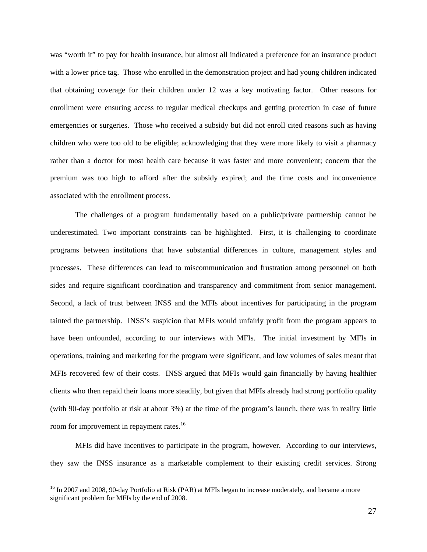was "worth it" to pay for health insurance, but almost all indicated a preference for an insurance product with a lower price tag. Those who enrolled in the demonstration project and had young children indicated that obtaining coverage for their children under 12 was a key motivating factor. Other reasons for enrollment were ensuring access to regular medical checkups and getting protection in case of future emergencies or surgeries. Those who received a subsidy but did not enroll cited reasons such as having children who were too old to be eligible; acknowledging that they were more likely to visit a pharmacy rather than a doctor for most health care because it was faster and more convenient; concern that the premium was too high to afford after the subsidy expired; and the time costs and inconvenience associated with the enrollment process.

The challenges of a program fundamentally based on a public/private partnership cannot be underestimated. Two important constraints can be highlighted. First, it is challenging to coordinate programs between institutions that have substantial differences in culture, management styles and processes. These differences can lead to miscommunication and frustration among personnel on both sides and require significant coordination and transparency and commitment from senior management. Second, a lack of trust between INSS and the MFIs about incentives for participating in the program tainted the partnership. INSS's suspicion that MFIs would unfairly profit from the program appears to have been unfounded, according to our interviews with MFIs. The initial investment by MFIs in operations, training and marketing for the program were significant, and low volumes of sales meant that MFIs recovered few of their costs. INSS argued that MFIs would gain financially by having healthier clients who then repaid their loans more steadily, but given that MFIs already had strong portfolio quality (with 90-day portfolio at risk at about 3%) at the time of the program's launch, there was in reality little room for improvement in repayment rates.<sup>16</sup>

MFIs did have incentives to participate in the program, however. According to our interviews, they saw the INSS insurance as a marketable complement to their existing credit services. Strong

 $\overline{a}$ 

<sup>&</sup>lt;sup>16</sup> In 2007 and 2008, 90-day Portfolio at Risk (PAR) at MFIs began to increase moderately, and became a more significant problem for MFIs by the end of 2008.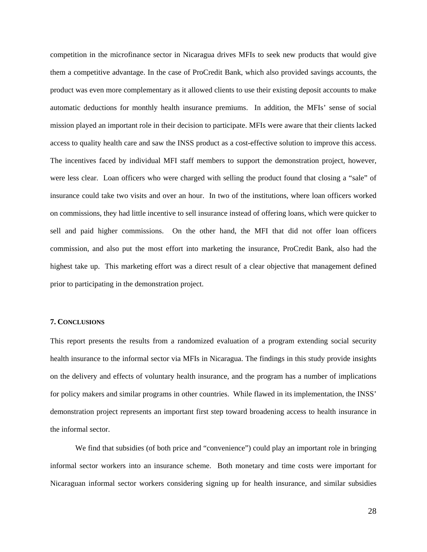competition in the microfinance sector in Nicaragua drives MFIs to seek new products that would give them a competitive advantage. In the case of ProCredit Bank, which also provided savings accounts, the product was even more complementary as it allowed clients to use their existing deposit accounts to make automatic deductions for monthly health insurance premiums. In addition, the MFIs' sense of social mission played an important role in their decision to participate. MFIs were aware that their clients lacked access to quality health care and saw the INSS product as a cost-effective solution to improve this access. The incentives faced by individual MFI staff members to support the demonstration project, however, were less clear. Loan officers who were charged with selling the product found that closing a "sale" of insurance could take two visits and over an hour. In two of the institutions, where loan officers worked on commissions, they had little incentive to sell insurance instead of offering loans, which were quicker to sell and paid higher commissions. On the other hand, the MFI that did not offer loan officers commission, and also put the most effort into marketing the insurance, ProCredit Bank, also had the highest take up. This marketing effort was a direct result of a clear objective that management defined prior to participating in the demonstration project.

#### **7. CONCLUSIONS**

This report presents the results from a randomized evaluation of a program extending social security health insurance to the informal sector via MFIs in Nicaragua. The findings in this study provide insights on the delivery and effects of voluntary health insurance, and the program has a number of implications for policy makers and similar programs in other countries. While flawed in its implementation, the INSS' demonstration project represents an important first step toward broadening access to health insurance in the informal sector.

We find that subsidies (of both price and "convenience") could play an important role in bringing informal sector workers into an insurance scheme. Both monetary and time costs were important for Nicaraguan informal sector workers considering signing up for health insurance, and similar subsidies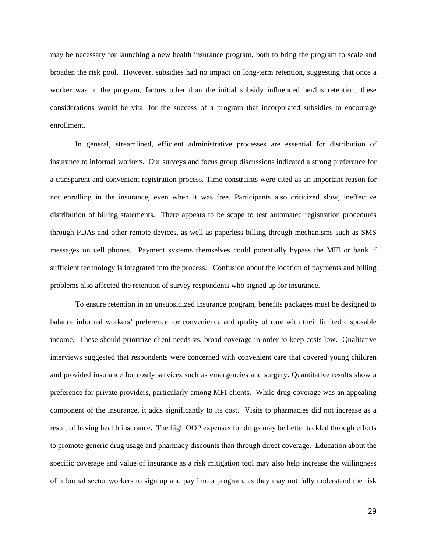may be necessary for launching a new health insurance program, both to bring the program to scale and broaden the risk pool. However, subsidies had no impact on long-term retention, suggesting that once a worker was in the program, factors other than the initial subsidy influenced her/his retention; these considerations would be vital for the success of a program that incorporated subsidies to encourage enrollment.

In general, streamlined, efficient administrative processes are essential for distribution of insurance to informal workers. Our surveys and focus group discussions indicated a strong preference for a transparent and convenient registration process. Time constraints were cited as an important reason for not enrolling in the insurance, even when it was free. Participants also criticized slow, ineffective distribution of billing statements. There appears to be scope to test automated registration procedures through PDAs and other remote devices, as well as paperless billing through mechanisms such as SMS messages on cell phones. Payment systems themselves could potentially bypass the MFI or bank if sufficient technology is integrated into the process. Confusion about the location of payments and billing problems also affected the retention of survey respondents who signed up for insurance.

To ensure retention in an unsubsidized insurance program, benefits packages must be designed to balance informal workers' preference for convenience and quality of care with their limited disposable income. These should prioritize client needs vs. broad coverage in order to keep costs low. Qualitative interviews suggested that respondents were concerned with convenient care that covered young children and provided insurance for costly services such as emergencies and surgery. Quantitative results show a preference for private providers, particularly among MFI clients. While drug coverage was an appealing component of the insurance, it adds significantly to its cost. Visits to pharmacies did not increase as a result of having health insurance. The high OOP expenses for drugs may be better tackled through efforts to promote generic drug usage and pharmacy discounts than through direct coverage. Education about the specific coverage and value of insurance as a risk mitigation tool may also help increase the willingness of informal sector workers to sign up and pay into a program, as they may not fully understand the risk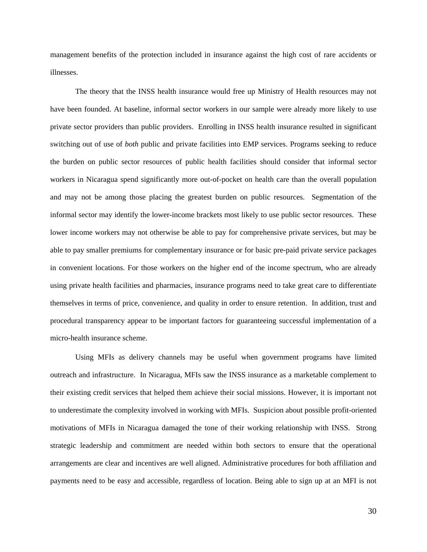management benefits of the protection included in insurance against the high cost of rare accidents or illnesses.

The theory that the INSS health insurance would free up Ministry of Health resources may not have been founded. At baseline, informal sector workers in our sample were already more likely to use private sector providers than public providers. Enrolling in INSS health insurance resulted in significant switching out of use of *both* public and private facilities into EMP services. Programs seeking to reduce the burden on public sector resources of public health facilities should consider that informal sector workers in Nicaragua spend significantly more out-of-pocket on health care than the overall population and may not be among those placing the greatest burden on public resources. Segmentation of the informal sector may identify the lower-income brackets most likely to use public sector resources. These lower income workers may not otherwise be able to pay for comprehensive private services, but may be able to pay smaller premiums for complementary insurance or for basic pre-paid private service packages in convenient locations. For those workers on the higher end of the income spectrum, who are already using private health facilities and pharmacies, insurance programs need to take great care to differentiate themselves in terms of price, convenience, and quality in order to ensure retention. In addition, trust and procedural transparency appear to be important factors for guaranteeing successful implementation of a micro-health insurance scheme.

Using MFIs as delivery channels may be useful when government programs have limited outreach and infrastructure. In Nicaragua, MFIs saw the INSS insurance as a marketable complement to their existing credit services that helped them achieve their social missions. However, it is important not to underestimate the complexity involved in working with MFIs. Suspicion about possible profit-oriented motivations of MFIs in Nicaragua damaged the tone of their working relationship with INSS. Strong strategic leadership and commitment are needed within both sectors to ensure that the operational arrangements are clear and incentives are well aligned. Administrative procedures for both affiliation and payments need to be easy and accessible, regardless of location. Being able to sign up at an MFI is not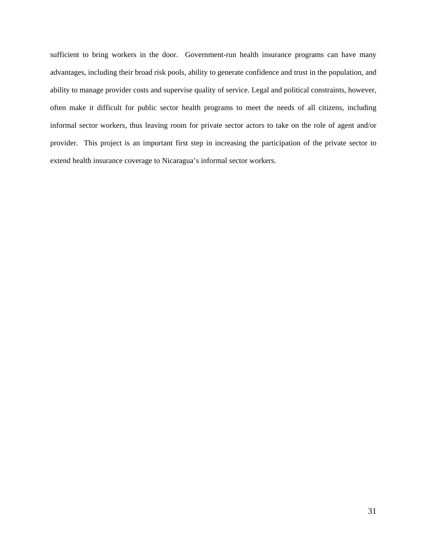sufficient to bring workers in the door. Government-run health insurance programs can have many advantages, including their broad risk pools, ability to generate confidence and trust in the population, and ability to manage provider costs and supervise quality of service. Legal and political constraints, however, often make it difficult for public sector health programs to meet the needs of all citizens, including informal sector workers, thus leaving room for private sector actors to take on the role of agent and/or provider. This project is an important first step in increasing the participation of the private sector to extend health insurance coverage to Nicaragua's informal sector workers.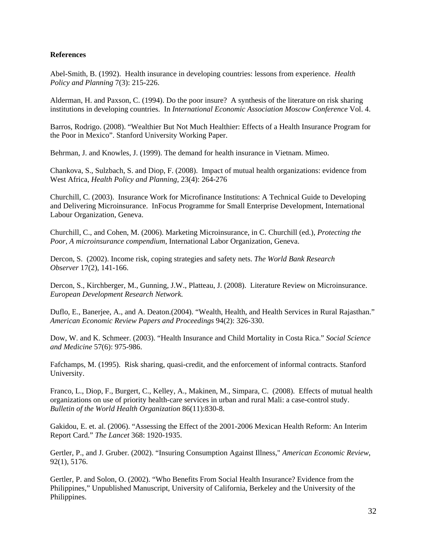#### **References**

Abel-Smith, B. (1992). Health insurance in developing countries: lessons from experience. *Health Policy and Planning* 7(3): 215-226.

Alderman, H. and Paxson, C. (1994). Do the poor insure? A synthesis of the literature on risk sharing institutions in developing countries. In *International Economic Association Moscow Conference* Vol. 4.

Barros, Rodrigo. (2008). "Wealthier But Not Much Healthier: Effects of a Health Insurance Program for the Poor in Mexico". Stanford University Working Paper.

Behrman, J. and Knowles, J. (1999). The demand for health insurance in Vietnam. Mimeo.

Chankova, S., Sulzbach, S. and Diop, F. (2008). Impact of mutual health organizations: evidence from West Africa, *Health Policy and Planning,* 23(4): 264-276

Churchill, C. (2003). Insurance Work for Microfinance Institutions: A Technical Guide to Developing and Delivering Microinsurance. InFocus Programme for Small Enterprise Development, International Labour Organization, Geneva.

Churchill, C., and Cohen, M. (2006). Marketing Microinsurance, in C. Churchill (ed.), *Protecting the Poor, A microinsurance compendium*, International Labor Organization, Geneva.

Dercon, S. (2002). Income risk, coping strategies and safety nets. *The World Bank Research Observer* 17(2), 141-166.

Dercon, S., Kirchberger, M., Gunning, J.W., Platteau, J. (2008). Literature Review on Microinsurance. *European Development Research Network.* 

Duflo, E., Banerjee, A., and A. Deaton.(2004). "Wealth, Health, and Health Services in Rural Rajasthan." *American Economic Review Papers and Proceedings* 94(2): 326-330.

Dow, W. and K. Schmeer. (2003). "Health Insurance and Child Mortality in Costa Rica." *Social Science and Medicine* 57(6): 975-986.

Fafchamps, M. (1995). Risk sharing, quasi-credit, and the enforcement of informal contracts. Stanford University.

Franco, L., Diop, F., Burgert, C., Kelley, A., Makinen, M., Simpara, C. (2008). Effects of mutual health organizations on use of priority health-care services in urban and rural Mali: a case-control study. *Bulletin of the World Health Organization* 86(11):830-8.

Gakidou, E. et. al. (2006). "Assessing the Effect of the 2001-2006 Mexican Health Reform: An Interim Report Card." *The Lancet* 368: 1920-1935.

Gertler, P., and J. Gruber. (2002). "Insuring Consumption Against Illness," *American Economic Review*, 92(1), 5176.

Gertler, P. and Solon, O. (2002). "Who Benefits From Social Health Insurance? Evidence from the Philippines," Unpublished Manuscript, University of California, Berkeley and the University of the Philippines.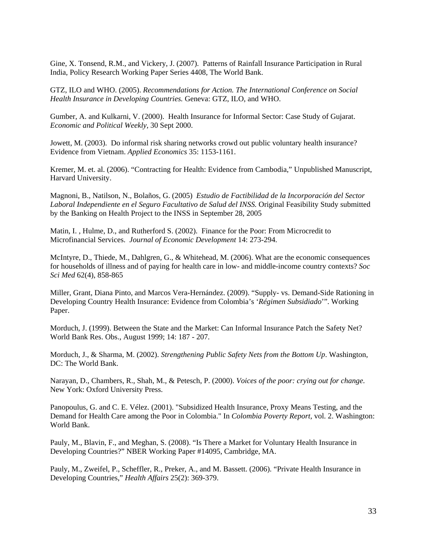Gine, X. Tonsend, R.M., and Vickery, J. (2007). Patterns of Rainfall Insurance Participation in Rural India, Policy Research Working Paper Series 4408, The World Bank.

GTZ, ILO and WHO. (2005). *Recommendations for Action. The International Conference on Social Health Insurance in Developing Countries.* Geneva: GTZ, ILO, and WHO.

Gumber, A. and Kulkarni, V. (2000). Health Insurance for Informal Sector: Case Study of Gujarat. *Economic and Political Weekly,* 30 Sept 2000.

Jowett, M. (2003). Do informal risk sharing networks crowd out public voluntary health insurance? Evidence from Vietnam. *Applied Economics* 35: 1153-1161.

Kremer, M. et. al. (2006). "Contracting for Health: Evidence from Cambodia," Unpublished Manuscript, Harvard University.

Magnoni, B., Natilson, N., Bolaños, G. (2005) *Estudio de Factibilidad de la Incorporación del Sector Laboral Independiente en el Seguro Facultativo de Salud del INSS.* Original Feasibility Study submitted by the Banking on Health Project to the INSS in September 28, 2005

Matin, I. , Hulme, D., and Rutherford S. (2002). Finance for the Poor: From Microcredit to Microfinancial Services. *Journal of Economic Development* 14: 273-294.

McIntyre, D., Thiede, M., Dahlgren, G., & Whitehead, M. (2006). What are the economic consequences for households of illness and of paying for health care in low- and middle-income country contexts? *Soc Sci Med* 62(4), 858-865

Miller, Grant, Diana Pinto, and Marcos Vera-Hernández. (2009). "Supply- vs. Demand-Side Rationing in Developing Country Health Insurance: Evidence from Colombia's '*Régimen Subsidiado*'". Working Paper.

Morduch, J. (1999). Between the State and the Market: Can Informal Insurance Patch the Safety Net? World Bank Res. Obs., August 1999; 14: 187 - 207.

Morduch, J., & Sharma, M. (2002). *Strengthening Public Safety Nets from the Bottom Up*. Washington, DC: The World Bank.

Narayan, D., Chambers, R., Shah, M., & Petesch, P. (2000). *Voices of the poor: crying out for change*. New York: Oxford University Press.

Panopoulus, G. and C. E. Vélez. (2001). "Subsidized Health Insurance, Proxy Means Testing, and the Demand for Health Care among the Poor in Colombia." In *Colombia Poverty Report,* vol. 2. Washington: World Bank.

Pauly, M., Blavin, F., and Meghan, S. (2008). "Is There a Market for Voluntary Health Insurance in Developing Countries?" NBER Working Paper #14095, Cambridge, MA.

Pauly, M., Zweifel, P., Scheffler, R., Preker, A., and M. Bassett. (2006). "Private Health Insurance in Developing Countries," *Health Affairs* 25(2): 369-379.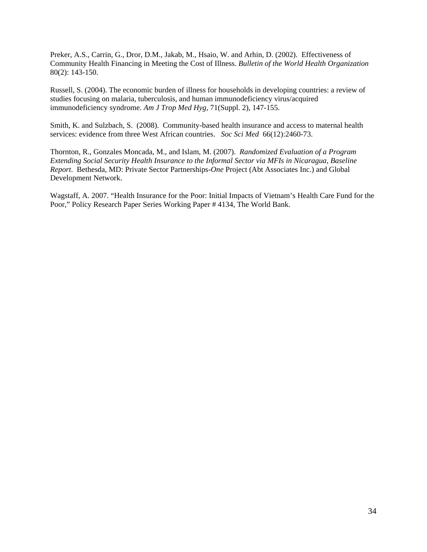Preker, A.S., Carrin, G., Dror, D.M., Jakab, M., Hsaio, W. and Arhin, D. (2002). Effectiveness of Community Health Financing in Meeting the Cost of Illness. *Bulletin of the World Health Organization* 80(2): 143-150.

Russell, S. (2004). The economic burden of illness for households in developing countries: a review of studies focusing on malaria, tuberculosis, and human immunodeficiency virus/acquired immunodeficiency syndrome. *Am J Trop Med Hyg,* 71(Suppl. 2), 147-155.

Smith, K. and Sulzbach, S. (2008). Community-based health insurance and access to maternal health services: evidence from three West African countries. *Soc Sci Med* 66(12):2460-73.

Thornton, R., Gonzales Moncada, M., and Islam, M. (2007). *Randomized Evaluation of a Program Extending Social Security Health Insurance to the Informal Sector via MFIs in Nicaragua, Baseline Report*. Bethesda, MD: Private Sector Partnerships-*One* Project (Abt Associates Inc.) and Global Development Network.

Wagstaff, A. 2007. "Health Insurance for the Poor: Initial Impacts of Vietnam's Health Care Fund for the Poor," Policy Research Paper Series Working Paper # 4134, The World Bank.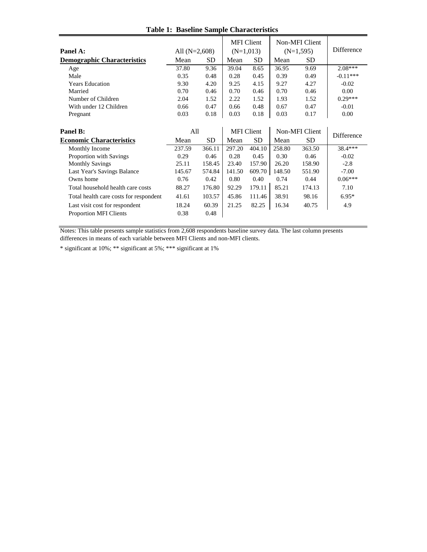| Panel A:                               | All $(N=2,608)$ |           | <b>MFI</b> Client<br>$(N=1,013)$ |                   | Non-MFI Client<br>$(N=1,595)$ |                | <b>Difference</b> |
|----------------------------------------|-----------------|-----------|----------------------------------|-------------------|-------------------------------|----------------|-------------------|
| <b>Demographic Characteristics</b>     | Mean            | <b>SD</b> | Mean                             | <b>SD</b>         | Mean                          | SD.            |                   |
| Age                                    | 37.80           | 9.36      | 39.04                            | 8.65              | 36.95                         | 9.69           | $2.08***$         |
| Male                                   | 0.35            | 0.48      | 0.28                             | 0.45              | 0.39                          | 0.49           | $-0.11***$        |
| <b>Years Education</b>                 | 9.30            | 4.20      | 9.25                             | 4.15              | 9.27                          | 4.27           | $-0.02$           |
| Married                                | 0.70            | 0.46      | 0.70                             | 0.46              | 0.70                          | 0.46           | 0.00              |
| Number of Children                     | 2.04            | 1.52      | 2.22                             | 1.52              | 1.93                          | 1.52           | $0.29***$         |
| With under 12 Children                 | 0.66            | 0.47      | 0.66                             | 0.48              | 0.67                          | 0.47           | $-0.01$           |
| Pregnant                               | 0.03            | 0.18      | 0.03                             | 0.18              | 0.03                          | 0.17           | 0.00              |
|                                        |                 |           |                                  |                   |                               |                |                   |
| Panel B:                               | All             |           |                                  | <b>MFI</b> Client |                               | Non-MFI Client | Difference        |
| <b>Economic Characteristics</b>        | Mean            | SD.       | Mean                             | <b>SD</b>         | Mean                          | <b>SD</b>      |                   |
| Monthly Income                         | 237.59          | 366.11    | 297.20                           | 404.10            | 258.80                        | 363.50         | 38.4***           |
| Proportion with Savings                | 0.29            | 0.46      | 0.28                             | 0.45              | 0.30                          | 0.46           | $-0.02$           |
| <b>Monthly Savings</b>                 | 25.11           | 158.45    | 23.40                            | 157.90            | 26.20                         | 158.90         | $-2.8$            |
| Last Year's Savings Balance            | 145.67          | 574.84    | 141.50                           | 609.70            | 148.50                        | 551.90         | $-7.00$           |
| Owns home                              | 0.76            | 0.42      | 0.80                             | 0.40              | 0.74                          | 0.44           | $0.06***$         |
| Total household health care costs      | 88.27           | 176.80    | 92.29                            | 179.11            | 85.21                         | 174.13         | 7.10              |
| Total health care costs for respondent | 41.61           | 103.57    | 45.86                            | 111.46            | 38.91                         | 98.16          | $6.95*$           |
| Last visit cost for respondent         | 18.24           | 60.39     | 21.25                            | 82.25             | 16.34                         | 40.75          | 4.9               |
| <b>Proportion MFI Clients</b>          | 0.38            | 0.48      |                                  |                   |                               |                |                   |

### **Table 1: Baseline Sample Characteristics**

Notes: This table presents sample statistics from 2,608 respondents baseline survey data. The last column presents differences in means of each variable between MFI Clients and non-MFI clients.

\* significant at 10%; \*\* significant at 5%; \*\*\* significant at 1%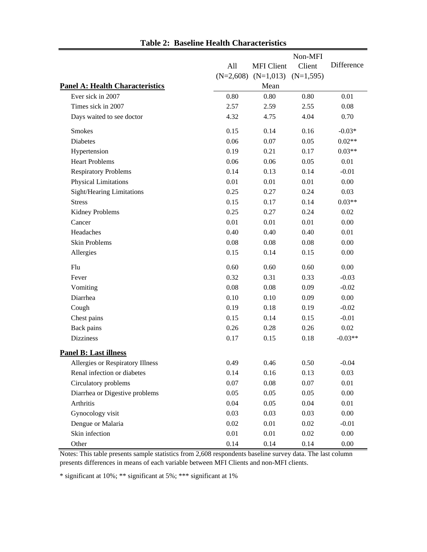|                                        |             |                   | Non-MFI     |            |
|----------------------------------------|-------------|-------------------|-------------|------------|
|                                        | All         | <b>MFI</b> Client | Client      | Difference |
|                                        | $(N=2,608)$ | $(N=1,013)$       | $(N=1,595)$ |            |
| <b>Panel A: Health Characteristics</b> |             | Mean              |             |            |
| Ever sick in 2007                      | 0.80        | 0.80              | 0.80        | 0.01       |
| Times sick in 2007                     | 2.57        | 2.59              | 2.55        | 0.08       |
| Days waited to see doctor              | 4.32        | 4.75              | 4.04        | 0.70       |
| <b>Smokes</b>                          | 0.15        | 0.14              | 0.16        | $-0.03*$   |
| <b>Diabetes</b>                        | 0.06        | 0.07              | 0.05        | $0.02**$   |
| Hypertension                           | 0.19        | 0.21              | 0.17        | $0.03**$   |
| <b>Heart Problems</b>                  | 0.06        | 0.06              | 0.05        | 0.01       |
| <b>Respiratory Problems</b>            | 0.14        | 0.13              | 0.14        | $-0.01$    |
| <b>Physical Limitations</b>            | 0.01        | 0.01              | 0.01        | 0.00       |
| <b>Sight/Hearing Limitations</b>       | 0.25        | 0.27              | 0.24        | 0.03       |
| <b>Stress</b>                          | 0.15        | 0.17              | 0.14        | $0.03**$   |
| <b>Kidney Problems</b>                 | 0.25        | 0.27              | 0.24        | 0.02       |
| Cancer                                 | 0.01        | 0.01              | 0.01        | 0.00       |
| Headaches                              | 0.40        | 0.40              | 0.40        | 0.01       |
| <b>Skin Problems</b>                   | 0.08        | 0.08              | 0.08        | 0.00       |
| Allergies                              | 0.15        | 0.14              | 0.15        | 0.00       |
| Flu                                    | 0.60        | 0.60              | 0.60        | 0.00       |
| Fever                                  | 0.32        | 0.31              | 0.33        | $-0.03$    |
| Vomiting                               | 0.08        | 0.08              | 0.09        | $-0.02$    |
| Diarrhea                               | 0.10        | 0.10              | 0.09        | 0.00       |
| Cough                                  | 0.19        | 0.18              | 0.19        | $-0.02$    |
| Chest pains                            | 0.15        | 0.14              | 0.15        | $-0.01$    |
| Back pains                             | 0.26        | 0.28              | 0.26        | 0.02       |
| <b>Dizziness</b>                       | 0.17        | 0.15              | 0.18        | $-0.03**$  |
| <b>Panel B: Last illness</b>           |             |                   |             |            |
| Allergies or Respiratory Illness       | 0.49        | 0.46              | 0.50        | $-0.04$    |
| Renal infection or diabetes            | 0.14        | 0.16              | 0.13        | 0.03       |
| Circulatory problems                   | 0.07        | $0.08\,$          | 0.07        | 0.01       |
| Diarrhea or Digestive problems         | 0.05        | 0.05              | 0.05        | $0.00\,$   |
| Arthritis                              | 0.04        | 0.05              | 0.04        | 0.01       |
| Gynocology visit                       | 0.03        | 0.03              | 0.03        | 0.00       |
| Dengue or Malaria                      | 0.02        | 0.01              | 0.02        | $-0.01$    |
| Skin infection                         | 0.01        | 0.01              | 0.02        | $0.00\,$   |
| Other                                  | 0.14        | 0.14              | 0.14        | $0.00\,$   |

**Table 2: Baseline Health Characteristics**

Notes: This table presents sample statistics from 2,608 respondents baseline survey data. The last column presents differences in means of each variable between MFI Clients and non-MFI clients.

\* significant at 10%; \*\* significant at 5%; \*\*\* significant at 1%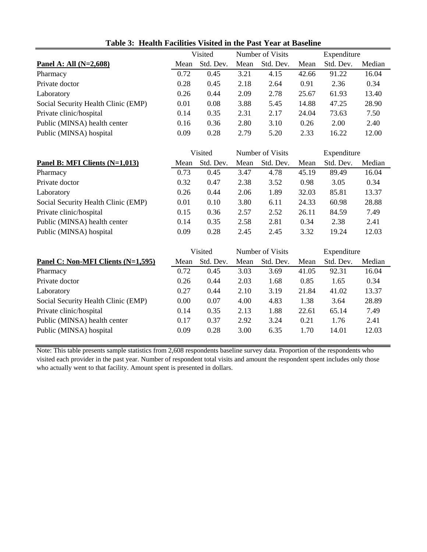|                                     | Visited |           | Number of Visits |           | Expenditure |           |        |
|-------------------------------------|---------|-----------|------------------|-----------|-------------|-----------|--------|
| Panel A: All $(N=2,608)$            | Mean    | Std. Dev. | Mean             | Std. Dev. | Mean        | Std. Dev. | Median |
| Pharmacy                            | 0.72    | 0.45      | 3.21             | 4.15      | 42.66       | 91.22     | 16.04  |
| Private doctor                      | 0.28    | 0.45      | 2.18             | 2.64      | 0.91        | 2.36      | 0.34   |
| Laboratory                          | 0.26    | 0.44      | 2.09             | 2.78      | 25.67       | 61.93     | 13.40  |
| Social Security Health Clinic (EMP) | 0.01    | 0.08      | 3.88             | 5.45      | 14.88       | 47.25     | 28.90  |
| Private clinic/hospital             | 0.14    | 0.35      | 2.31             | 2.17      | 24.04       | 73.63     | 7.50   |
| Public (MINSA) health center        | 0.16    | 0.36      | 2.80             | 3.10      | 0.26        | 2.00      | 2.40   |
| Public (MINSA) hospital             | 0.09    | 0.28      | 2.79             | 5.20      | 2.33        | 16.22     | 12.00  |

**Table 3: Health Facilities Visited in the Past Year at Baseline**

|                                     |      | Visited   |      | Number of Visits |       | Expenditure |        |  |
|-------------------------------------|------|-----------|------|------------------|-------|-------------|--------|--|
| Panel B: MFI Clients (N=1,013)      | Mean | Std. Dev. | Mean | Std. Dev.        | Mean  | Std. Dev.   | Median |  |
| Pharmacy                            | 0.73 | 0.45      | 3.47 | 4.78             | 45.19 | 89.49       | 16.04  |  |
| Private doctor                      | 0.32 | 0.47      | 2.38 | 3.52             | 0.98  | 3.05        | 0.34   |  |
| Laboratory                          | 0.26 | 0.44      | 2.06 | 1.89             | 32.03 | 85.81       | 13.37  |  |
| Social Security Health Clinic (EMP) | 0.01 | 0.10      | 3.80 | 6.11             | 24.33 | 60.98       | 28.88  |  |
| Private clinic/hospital             | 0.15 | 0.36      | 2.57 | 2.52             | 26.11 | 84.59       | 7.49   |  |
| Public (MINSA) health center        | 0.14 | 0.35      | 2.58 | 2.81             | 0.34  | 2.38        | 2.41   |  |
| Public (MINSA) hospital             | 0.09 | 0.28      | 2.45 | 2.45             | 3.32  | 19.24       | 12.03  |  |

|                                     | Visited |           | Number of Visits |           | Expenditure |           |        |
|-------------------------------------|---------|-----------|------------------|-----------|-------------|-----------|--------|
| Panel C: Non-MFI Clients (N=1,595)  | Mean    | Std. Dev. | Mean             | Std. Dev. | Mean        | Std. Dev. | Median |
| Pharmacy                            | 0.72    | 0.45      | 3.03             | 3.69      | 41.05       | 92.31     | 16.04  |
| Private doctor                      | 0.26    | 0.44      | 2.03             | 1.68      | 0.85        | 1.65      | 0.34   |
| Laboratory                          | 0.27    | 0.44      | 2.10             | 3.19      | 21.84       | 41.02     | 13.37  |
| Social Security Health Clinic (EMP) | 0.00    | 0.07      | 4.00             | 4.83      | 1.38        | 3.64      | 28.89  |
| Private clinic/hospital             | 0.14    | 0.35      | 2.13             | 1.88      | 22.61       | 65.14     | 7.49   |
| Public (MINSA) health center        | 0.17    | 0.37      | 2.92             | 3.24      | 0.21        | 1.76      | 2.41   |
| Public (MINSA) hospital             | 0.09    | 0.28      | 3.00             | 6.35      | 1.70        | 14.01     | 12.03  |

Note: This table presents sample statistics from 2,608 respondents baseline survey data. Proportion of the respondents who visited each provider in the past year. Number of respondent total visits and amount the respondent spent includes only those who actually went to that facility. Amount spent is presented in dollars.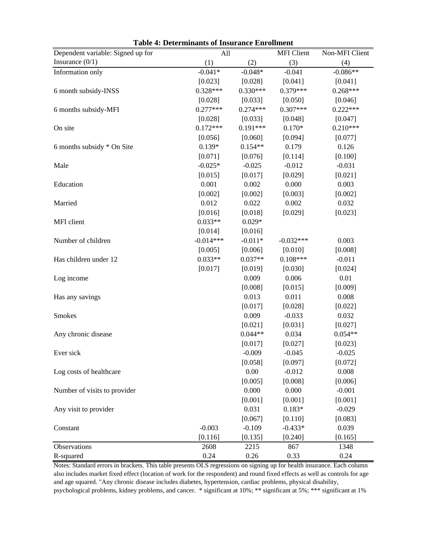| Dependent variable: Signed up for |             | All        |                          | Non-MFI Client |
|-----------------------------------|-------------|------------|--------------------------|----------------|
| Insurance $(0/1)$                 | (1)         | (2)        | <b>MFI</b> Client<br>(3) | (4)            |
| Information only                  | $-0.041*$   | $-0.048*$  | $-0.041$                 | $-0.086**$     |
|                                   | [0.023]     | [0.028]    | [0.041]                  | [0.041]        |
| 6 month subsidy-INSS              | $0.328***$  | $0.330***$ | $0.379***$               | $0.268***$     |
|                                   | [0.028]     | [0.033]    | [0.050]                  | [0.046]        |
| 6 months subsidy-MFI              | $0.277***$  | $0.274***$ | $0.307***$               | $0.222***$     |
|                                   | [0.028]     | [0.033]    | [0.048]                  | [0.047]        |
| On site                           | $0.172***$  | $0.191***$ | $0.170*$                 | $0.210***$     |
|                                   | [0.056]     | [0.060]    | [0.094]                  | [0.077]        |
| 6 months subsidy * On Site        | $0.139*$    | $0.154**$  | 0.179                    | 0.126          |
|                                   | [0.071]     | [0.076]    | [0.114]                  | [0.100]        |
| Male                              | $-0.025*$   | $-0.025$   | $-0.012$                 | $-0.031$       |
|                                   | [0.015]     | [0.017]    | [0.029]                  | [0.021]        |
| Education                         | 0.001       | 0.002      | 0.000                    | 0.003          |
|                                   | [0.002]     | [0.002]    | [0.003]                  | [0.002]        |
| Married                           | 0.012       | 0.022      | 0.002                    | 0.032          |
|                                   | [0.016]     | [0.018]    | [0.029]                  | [0.023]        |
| MFI client                        | $0.033**$   | $0.029*$   |                          |                |
|                                   | [0.014]     | [0.016]    |                          |                |
| Number of children                | $-0.014***$ | $-0.011*$  | $-0.032***$              | 0.003          |
|                                   | [0.005]     | [0.006]    | [0.010]                  | [0.008]        |
| Has children under 12             | $0.033**$   | $0.037**$  | $0.108***$               | $-0.011$       |
|                                   | [0.017]     | [0.019]    | [0.030]                  | [0.024]        |
| Log income                        |             | 0.009      | 0.006                    | 0.01           |
|                                   |             | [0.008]    | [0.015]                  | [0.009]        |
| Has any savings                   |             | 0.013      | 0.011                    | 0.008          |
|                                   |             | [0.017]    | [0.028]                  | [0.022]        |
| <b>Smokes</b>                     |             | 0.009      | $-0.033$                 | 0.032          |
|                                   |             | [0.021]    | [0.031]                  | [0.027]        |
| Any chronic disease               |             | $0.044**$  | 0.034                    | $0.054**$      |
|                                   |             | [0.017]    | [0.027]                  | [0.023]        |
| Ever sick                         |             | $-0.009$   | $-0.045$                 | $-0.025$       |
|                                   |             | [0.058]    | [0.097]                  | [0.072]        |
| Log costs of healthcare           |             | 0.00       | $-0.012$                 | 0.008          |
|                                   |             | [0.005]    | [0.008]                  | [0.006]        |
| Number of visits to provider      |             | 0.000      | 0.000                    | $-0.001$       |
|                                   |             | [0.001]    | [0.001]                  | [0.001]        |
| Any visit to provider             |             | 0.031      | $0.183*$                 | $-0.029$       |
|                                   |             | [0.067]    | [0.110]                  | [0.083]        |
| Constant                          | $-0.003$    | $-0.109$   | $-0.433*$                | 0.039          |
|                                   | [0.116]     | [0.135]    | [0.240]                  | [0.165]        |
| Observations                      | 2608        | 2215       | 867                      | 1348           |
| R-squared                         | 0.24        | $0.26\,$   | 0.33                     | 0.24           |

**Table 4: Determinants of Insurance Enrollment**

Notes: Standard errors in brackets. This table presents OLS regressions on signing up for health insurance. Each column also includes market fixed effect (location of work for the respondent) and round fixed effects as well as controls for age and age squared. "Any chronic disease includes diabetes, hypertension, cardiac problems, physical disability, psychological problems, kidney problems, and cancer. \* significant at 10%; \*\* significant at 5%; \*\*\* significant at 1%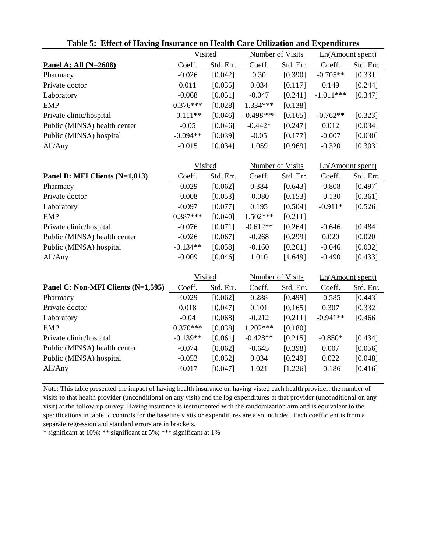|                                    | Visited    |           | <b>Number of Visits</b> |           | Ln(Amount spent) |           |
|------------------------------------|------------|-----------|-------------------------|-----------|------------------|-----------|
| Panel A: All (N=2608)              | Coeff.     | Std. Err. | Coeff.                  | Std. Err. | Coeff.           | Std. Err. |
| Pharmacy                           | $-0.026$   | [0.042]   | 0.30                    | [0.390]   | $-0.705**$       | [0.331]   |
| Private doctor                     | 0.011      | [0.035]   | 0.034                   | [0.117]   | 0.149            | [0.244]   |
| Laboratory                         | $-0.068$   | [0.051]   | $-0.047$                | [0.241]   | $-1.011***$      | [0.347]   |
| <b>EMP</b>                         | $0.376***$ | [0.028]   | 1.334***                | [0.138]   |                  |           |
| Private clinic/hospital            | $-0.111**$ | [0.046]   | $-0.498***$             | [0.165]   | $-0.762**$       | [0.323]   |
| Public (MINSA) health center       | $-0.05$    | [0.046]   | $-0.442*$               | [0.247]   | 0.012            | [0.034]   |
| Public (MINSA) hospital            | $-0.094**$ | [0.039]   | $-0.05$                 | [0.177]   | $-0.007$         | [0.030]   |
| All/Any                            | $-0.015$   | [0.034]   | 1.059                   | [0.969]   | $-0.320$         | [0.303]   |
|                                    |            |           |                         |           |                  |           |
|                                    | Visited    |           | <b>Number of Visits</b> |           | Ln(Amount spent) |           |
| Panel B: MFI Clients (N=1,013)     | Coeff.     | Std. Err. | Coeff.                  | Std. Err. | Coeff.           | Std. Err. |
| Pharmacy                           | $-0.029$   | [0.062]   | 0.384                   | [0.643]   | $-0.808$         | [0.497]   |
| Private doctor                     | $-0.008$   | [0.053]   | $-0.080$                | [0.153]   | $-0.130$         | [0.361]   |
| Laboratory                         | $-0.097$   | [0.077]   | 0.195                   | [0.504]   | $-0.911*$        | [0.526]   |
| <b>EMP</b>                         | $0.387***$ | [0.040]   | 1.502***                | [0.211]   |                  |           |
| Private clinic/hospital            | $-0.076$   | [0.071]   | $-0.612**$              | [0.264]   | $-0.646$         | [0.484]   |
| Public (MINSA) health center       | $-0.026$   | [0.067]   | $-0.268$                | [0.299]   | 0.020            | [0.020]   |
| Public (MINSA) hospital            | $-0.134**$ | [0.058]   | $-0.160$                | [0.261]   | $-0.046$         | [0.032]   |
| All/Any                            | $-0.009$   | [0.046]   | 1.010                   | [1.649]   | $-0.490$         | [0.433]   |
|                                    |            |           |                         |           |                  |           |
|                                    | Visited    |           | Number of Visits        |           | Ln(Amount spent) |           |
| Panel C: Non-MFI Clients (N=1,595) | Coeff.     | Std. Err. | Coeff.                  | Std. Err. | Coeff.           | Std. Err. |
| Pharmacy                           | $-0.029$   | [0.062]   | 0.288                   | [0.499]   | $-0.585$         | [0.443]   |
| Private doctor                     | 0.018      | [0.047]   | 0.101                   | [0.165]   | 0.307            | [0.332]   |
| Laboratory                         | $-0.04$    | [0.068]   | $-0.212$                | [0.211]   | $-0.941**$       | [0.466]   |
| <b>EMP</b>                         | $0.370***$ | [0.038]   | $1.202***$              | [0.180]   |                  |           |
| Private clinic/hospital            | $-0.139**$ | [0.061]   | $-0.428**$              | [0.215]   | $-0.850*$        | [0.434]   |
| Public (MINSA) health center       | $-0.074$   | [0.062]   | $-0.645$                | [0.398]   | 0.007            | [0.056]   |
| Public (MINSA) hospital            | $-0.053$   | [0.052]   | 0.034                   | [0.249]   | 0.022            | [0.048]   |
| All/Any                            | $-0.017$   | [0.047]   | 1.021                   | [1.226]   | $-0.186$         | [0.416]   |
|                                    |            |           |                         |           |                  |           |

#### **Table 5: Effect of Having Insurance on Health Care Utilization and Expenditures**

Note: This table presented the impact of having health insurance on having visted each health provider, the number of visits to that health provider (unconditional on any visit) and the log expenditures at that provider (unconditional on any visit) at the follow-up survey. Having insurance is instrumented with the randomization arm and is equivalent to the specifications in table 5; controls for the baseline visits or expenditures are also included. Each coefficient is from a separate regression and standard errors are in brackets.

\* significant at 10%; \*\* significant at 5%; \*\*\* significant at 1%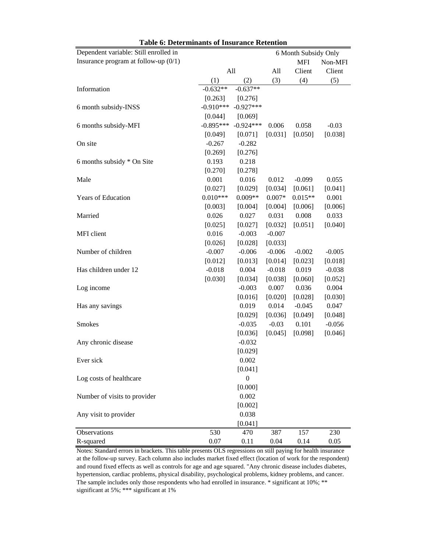| <b>Table 6: Determinants of Insurance Retention</b> |             |                  |                      |            |          |  |  |  |  |  |
|-----------------------------------------------------|-------------|------------------|----------------------|------------|----------|--|--|--|--|--|
| Dependent variable: Still enrolled in               |             |                  | 6 Month Subsidy Only |            |          |  |  |  |  |  |
| Insurance program at follow-up $(0/1)$              |             |                  |                      | <b>MFI</b> | Non-MFI  |  |  |  |  |  |
|                                                     | All         |                  | All                  | Client     | Client   |  |  |  |  |  |
|                                                     | (1)         | (2)              | (3)                  | (4)        | (5)      |  |  |  |  |  |
| Information                                         | $-0.632**$  | $-0.637**$       |                      |            |          |  |  |  |  |  |
|                                                     | [0.263]     | [0.276]          |                      |            |          |  |  |  |  |  |
| 6 month subsidy-INSS                                | $-0.910***$ | $-0.927***$      |                      |            |          |  |  |  |  |  |
|                                                     | [0.044]     | [0.069]          |                      |            |          |  |  |  |  |  |
| 6 months subsidy-MFI                                | $-0.895***$ | $-0.924***$      | 0.006                | 0.058      | $-0.03$  |  |  |  |  |  |
|                                                     | [0.049]     | [0.071]          | [0.031]              | [0.050]    | [0.038]  |  |  |  |  |  |
| On site                                             | $-0.267$    | $-0.282$         |                      |            |          |  |  |  |  |  |
|                                                     | [0.269]     | [0.276]          |                      |            |          |  |  |  |  |  |
| 6 months subsidy * On Site                          | 0.193       | 0.218            |                      |            |          |  |  |  |  |  |
|                                                     | [0.270]     | [0.278]          |                      |            |          |  |  |  |  |  |
| Male                                                | 0.001       | 0.016            | 0.012                | $-0.099$   | 0.055    |  |  |  |  |  |
|                                                     | [0.027]     | [0.029]          | [0.034]              | [0.061]    | [0.041]  |  |  |  |  |  |
| Years of Education                                  | $0.010***$  | $0.009**$        | $0.007*$             | $0.015**$  | 0.001    |  |  |  |  |  |
|                                                     | [0.003]     | [0.004]          | [0.004]              | [0.006]    | [0.006]  |  |  |  |  |  |
| Married                                             | 0.026       | 0.027            | 0.031                | 0.008      | 0.033    |  |  |  |  |  |
|                                                     | [0.025]     | [0.027]          | [0.032]              | [0.051]    | [0.040]  |  |  |  |  |  |
| MFI client                                          | 0.016       | $-0.003$         | $-0.007$             |            |          |  |  |  |  |  |
|                                                     | [0.026]     | [0.028]          | [0.033]              |            |          |  |  |  |  |  |
| Number of children                                  | $-0.007$    | $-0.006$         | $-0.006$             | $-0.002$   | $-0.005$ |  |  |  |  |  |
|                                                     | [0.012]     | [0.013]          | [0.014]              | [0.023]    | [0.018]  |  |  |  |  |  |
| Has children under 12                               | $-0.018$    | 0.004            | $-0.018$             | 0.019      | $-0.038$ |  |  |  |  |  |
|                                                     | [0.030]     | [0.034]          | [0.038]              | [0.060]    | [0.052]  |  |  |  |  |  |
| Log income                                          |             | $-0.003$         | 0.007                | 0.036      | 0.004    |  |  |  |  |  |
|                                                     |             | [0.016]          | [0.020]              | [0.028]    | [0.030]  |  |  |  |  |  |
| Has any savings                                     |             | 0.019            | 0.014                | $-0.045$   | 0.047    |  |  |  |  |  |
|                                                     |             | [0.029]          | [0.036]              | [0.049]    | [0.048]  |  |  |  |  |  |
| <b>Smokes</b>                                       |             | $-0.035$         | $-0.03$              | 0.101      | $-0.056$ |  |  |  |  |  |
|                                                     |             | [0.036]          | [0.045]              | [0.098]    | [0.046]  |  |  |  |  |  |
| Any chronic disease                                 |             | $-0.032$         |                      |            |          |  |  |  |  |  |
|                                                     |             | [0.029]          |                      |            |          |  |  |  |  |  |
| Ever sick                                           |             | 0.002            |                      |            |          |  |  |  |  |  |
|                                                     |             | [0.041]          |                      |            |          |  |  |  |  |  |
| Log costs of healthcare                             |             | $\boldsymbol{0}$ |                      |            |          |  |  |  |  |  |
|                                                     |             | [0.000]          |                      |            |          |  |  |  |  |  |
| Number of visits to provider                        |             | 0.002            |                      |            |          |  |  |  |  |  |
|                                                     |             | [0.002]          |                      |            |          |  |  |  |  |  |
| Any visit to provider                               |             | 0.038            |                      |            |          |  |  |  |  |  |
|                                                     |             | [0.041]          |                      |            |          |  |  |  |  |  |
| Observations                                        | 530         | 470              | 387                  | 157        | 230      |  |  |  |  |  |
| R-squared                                           | 0.07        | 0.11             | 0.04                 | 0.14       | 0.05     |  |  |  |  |  |

Notes: Standard errors in brackets. This table presents OLS regressions on still paying for health insurance at the follow-up survey. Each column also includes market fixed effect (location of work for the respondent) and round fixed effects as well as controls for age and age squared. "Any chronic disease includes diabetes, hypertension, cardiac problems, physical disability, psychological problems, kidney problems, and cancer. The sample includes only those respondents who had enrolled in insurance. \* significant at 10%; \*\* significant at 5%; \*\*\* significant at 1%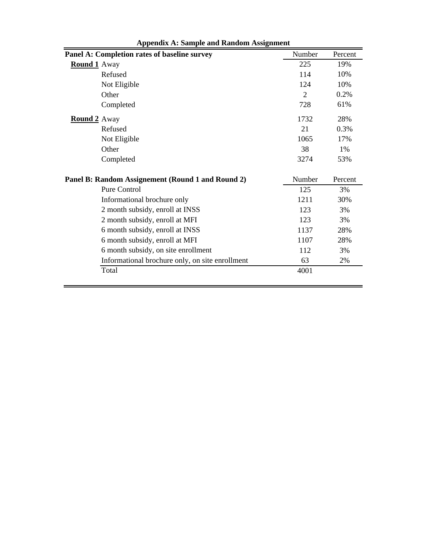|                     | Panel A: Completion rates of baseline survey      | Number | Percent |
|---------------------|---------------------------------------------------|--------|---------|
| <b>Round 1</b> Away |                                                   | 225    | 19%     |
|                     | Refused                                           | 114    | 10%     |
|                     | Not Eligible                                      | 124    | 10%     |
|                     | Other                                             | 2      | 0.2%    |
|                     | Completed                                         | 728    | 61%     |
| <b>Round 2</b> Away |                                                   | 1732   | 28%     |
|                     | Refused                                           | 21     | 0.3%    |
|                     | Not Eligible                                      | 1065   | 17%     |
|                     | Other                                             | 38     | 1%      |
|                     | Completed                                         | 3274   | 53%     |
|                     | Panel B: Random Assignement (Round 1 and Round 2) | Number | Percent |
|                     | Pure Control                                      | 125    | 3%      |
|                     | Informational brochure only                       | 1211   | 30%     |
|                     | 2 month subsidy, enroll at INSS                   | 123    | 3%      |
|                     | 2 month subsidy, enroll at MFI                    | 123    | 3%      |
|                     | 6 month subsidy, enroll at INSS                   | 1137   | 28%     |
|                     | 6 month subsidy, enroll at MFI                    | 1107   | 28%     |
|                     | 6 month subsidy, on site enrollment               | 112    | 3%      |
|                     | Informational brochure only, on site enrollment   | 63     | 2%      |
|                     | Total                                             | 4001   |         |
|                     |                                                   |        |         |

|  |  |  |  |  | <b>Appendix A: Sample and Random Assignment</b> |
|--|--|--|--|--|-------------------------------------------------|
|--|--|--|--|--|-------------------------------------------------|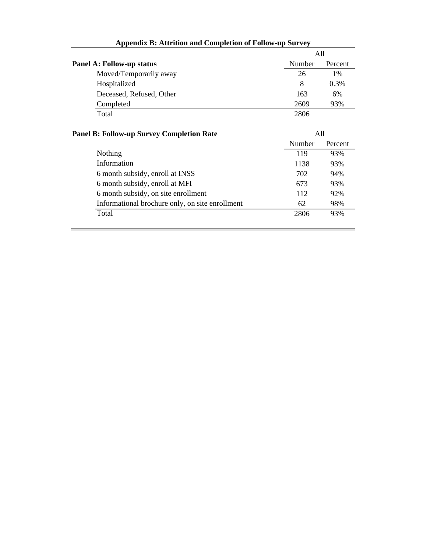|                                                  | All           |         |
|--------------------------------------------------|---------------|---------|
| <b>Panel A: Follow-up status</b>                 | Number        | Percent |
| Moved/Temporarily away                           | 26            | $1\%$   |
| Hospitalized                                     | 8             | 0.3%    |
| Deceased, Refused, Other                         | 163           | 6%      |
| Completed                                        | 2609          | 93%     |
| Total                                            | 2806          |         |
| <b>Panel B: Follow-up Survey Completion Rate</b> | A11<br>Number | Percent |
| Nothing                                          | 119           | 93%     |
| Information                                      | 1138          | 93%     |
| 6 month subsidy, enroll at INSS                  | 702           | 94%     |
| 6 month subsidy, enroll at MFI                   | 673           | 93%     |
| 6 month subsidy, on site enrollment              | 112           | 92%     |
| Informational brochure only, on site enrollment  | 62            | 98%     |
| Total                                            | 2806          | 93%     |
|                                                  |               |         |

### **Appendix B: Attrition and Completion of Follow-up Survey**